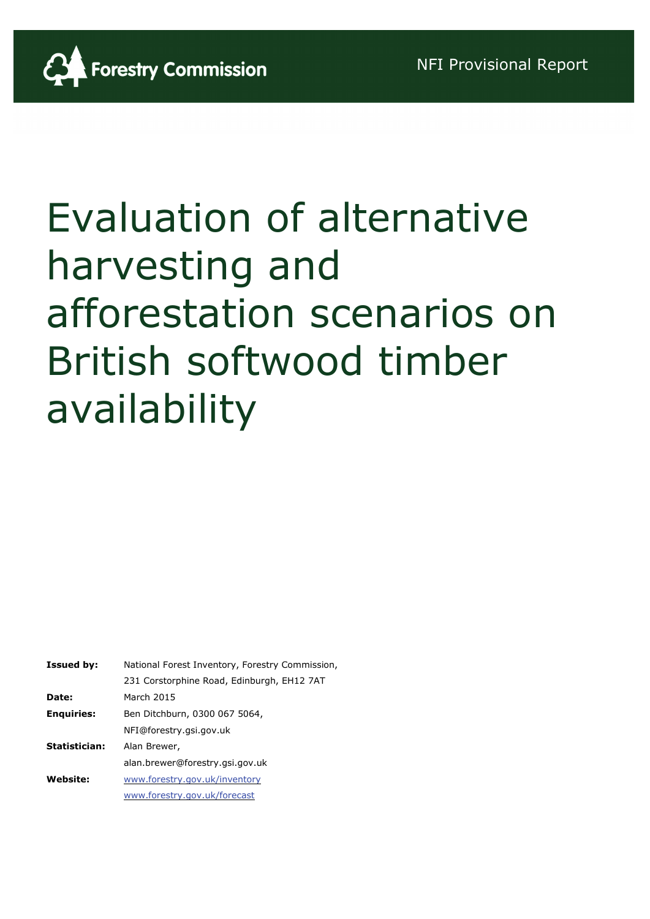

| <b>Issued by:</b> | National Forest Inventory, Forestry Commission, |  |  |
|-------------------|-------------------------------------------------|--|--|
|                   | 231 Corstorphine Road, Edinburgh, EH12 7AT      |  |  |
| Date:             | March 2015                                      |  |  |
| <b>Enquiries:</b> | Ben Ditchburn, 0300 067 5064,                   |  |  |
|                   | NFI@forestry.gsi.gov.uk                         |  |  |
| Statistician:     | Alan Brewer,                                    |  |  |
|                   | alan.brewer@forestry.gsi.gov.uk                 |  |  |
| <b>Website:</b>   | www.forestry.gov.uk/inventory                   |  |  |
|                   | www.forestry.gov.uk/forecast                    |  |  |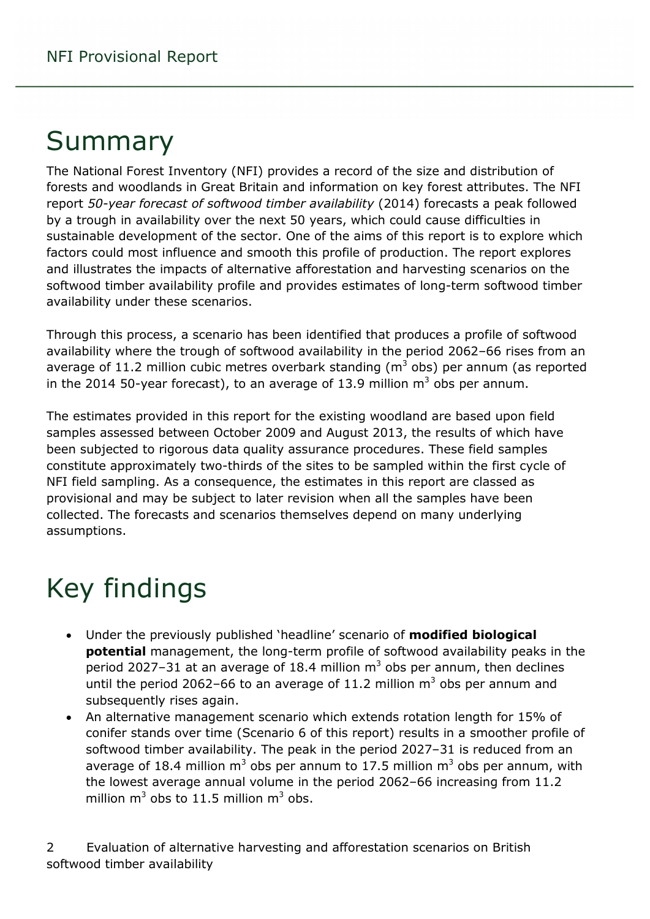# Summary

The National Forest Inventory (NFI) provides a record of the size and distribution of forests and woodlands in Great Britain and information on key forest attributes. The NFI report *50-year forecast of softwood timber availability* (2014) forecasts a peak followed by a trough in availability over the next 50 years, which could cause difficulties in sustainable development of the sector. One of the aims of this report is to explore which factors could most influence and smooth this profile of production. The report explores and illustrates the impacts of alternative afforestation and harvesting scenarios on the softwood timber availability profile and provides estimates of long-term softwood timber availability under these scenarios.

Through this process, a scenario has been identified that produces a profile of softwood availability where the trough of softwood availability in the period 2062–66 rises from an average of 11.2 million cubic metres overbark standing  $(m^3 \text{ obs})$  per annum (as reported in the 2014 50-year forecast), to an average of 13.9 million  $m<sup>3</sup>$  obs per annum.

The estimates provided in this report for the existing woodland are based upon field samples assessed between October 2009 and August 2013, the results of which have been subjected to rigorous data quality assurance procedures. These field samples constitute approximately two-thirds of the sites to be sampled within the first cycle of NFI field sampling. As a consequence, the estimates in this report are classed as provisional and may be subject to later revision when all the samples have been collected. The forecasts and scenarios themselves depend on many underlying assumptions.

# Key findings

- Under the previously published 'headline' scenario of **modified biological potential** management, the long-term profile of softwood availability peaks in the period 2027–31 at an average of 18.4 million  $m<sup>3</sup>$  obs per annum, then declines until the period 2062–66 to an average of 11.2 million  $m<sup>3</sup>$  obs per annum and subsequently rises again.
- An alternative management scenario which extends rotation length for 15% of conifer stands over time (Scenario 6 of this report) results in a smoother profile of softwood timber availability. The peak in the period 2027–31 is reduced from an average of 18.4 million  $m^3$  obs per annum to 17.5 million  $m^3$  obs per annum, with the lowest average annual volume in the period 2062–66 increasing from 11.2 million  $m^3$  obs to 11.5 million  $m^3$  obs.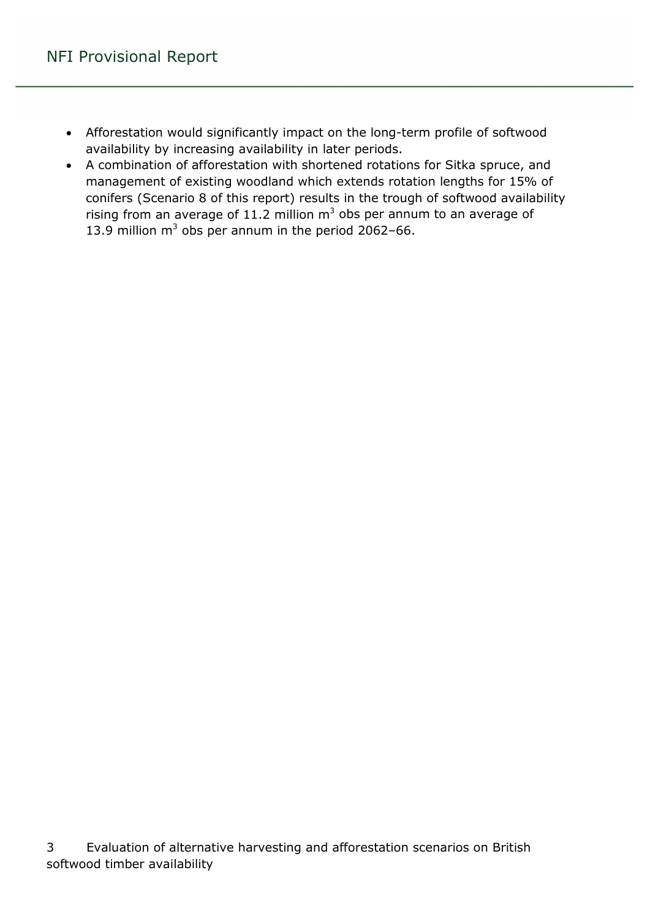- Afforestation would significantly impact on the long-term profile of softwood availability by increasing availability in later periods.
- A combination of afforestation with shortened rotations for Sitka spruce, and management of existing woodland which extends rotation lengths for 15% of conifers (Scenario 8 of this report) results in the trough of softwood availability rising from an average of 11.2 million  $m^3$  obs per annum to an average of 13.9 million  $m^3$  obs per annum in the period 2062-66.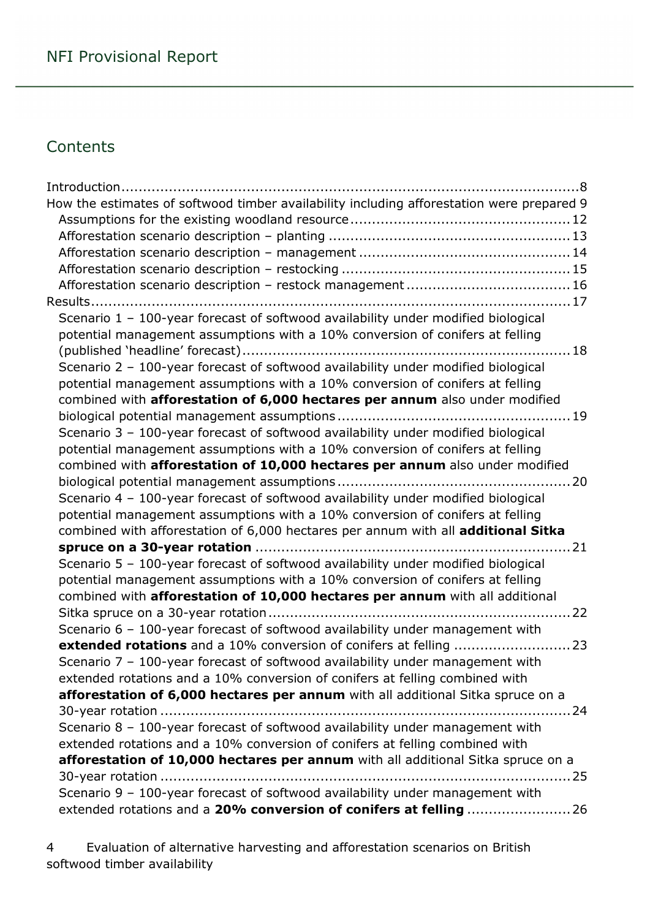### **Contents**

| How the estimates of softwood timber availability including afforestation were prepared 9                                                           |
|-----------------------------------------------------------------------------------------------------------------------------------------------------|
|                                                                                                                                                     |
|                                                                                                                                                     |
|                                                                                                                                                     |
|                                                                                                                                                     |
|                                                                                                                                                     |
|                                                                                                                                                     |
| Scenario 1 - 100-year forecast of softwood availability under modified biological                                                                   |
| potential management assumptions with a 10% conversion of conifers at felling                                                                       |
| Scenario 2 - 100-year forecast of softwood availability under modified biological                                                                   |
| potential management assumptions with a 10% conversion of conifers at felling                                                                       |
| combined with afforestation of 6,000 hectares per annum also under modified                                                                         |
|                                                                                                                                                     |
| Scenario 3 - 100-year forecast of softwood availability under modified biological                                                                   |
| potential management assumptions with a 10% conversion of conifers at felling                                                                       |
| combined with afforestation of 10,000 hectares per annum also under modified                                                                        |
|                                                                                                                                                     |
| Scenario 4 - 100-year forecast of softwood availability under modified biological                                                                   |
| potential management assumptions with a 10% conversion of conifers at felling                                                                       |
| combined with afforestation of 6,000 hectares per annum with all additional Sitka                                                                   |
|                                                                                                                                                     |
| Scenario 5 - 100-year forecast of softwood availability under modified biological                                                                   |
| potential management assumptions with a 10% conversion of conifers at felling                                                                       |
| combined with afforestation of 10,000 hectares per annum with all additional                                                                        |
|                                                                                                                                                     |
| Scenario 6 - 100-year forecast of softwood availability under management with<br>extended rotations and a 10% conversion of conifers at felling  23 |
| Scenario 7 - 100-year forecast of softwood availability under management with                                                                       |
| extended rotations and a 10% conversion of conifers at felling combined with                                                                        |
| afforestation of 6,000 hectares per annum with all additional Sitka spruce on a                                                                     |
|                                                                                                                                                     |
| Scenario 8 - 100-year forecast of softwood availability under management with                                                                       |
| extended rotations and a 10% conversion of conifers at felling combined with                                                                        |
| afforestation of 10,000 hectares per annum with all additional Sitka spruce on a                                                                    |
|                                                                                                                                                     |
| Scenario 9 - 100-year forecast of softwood availability under management with                                                                       |
| extended rotations and a 20% conversion of conifers at felling  26                                                                                  |
|                                                                                                                                                     |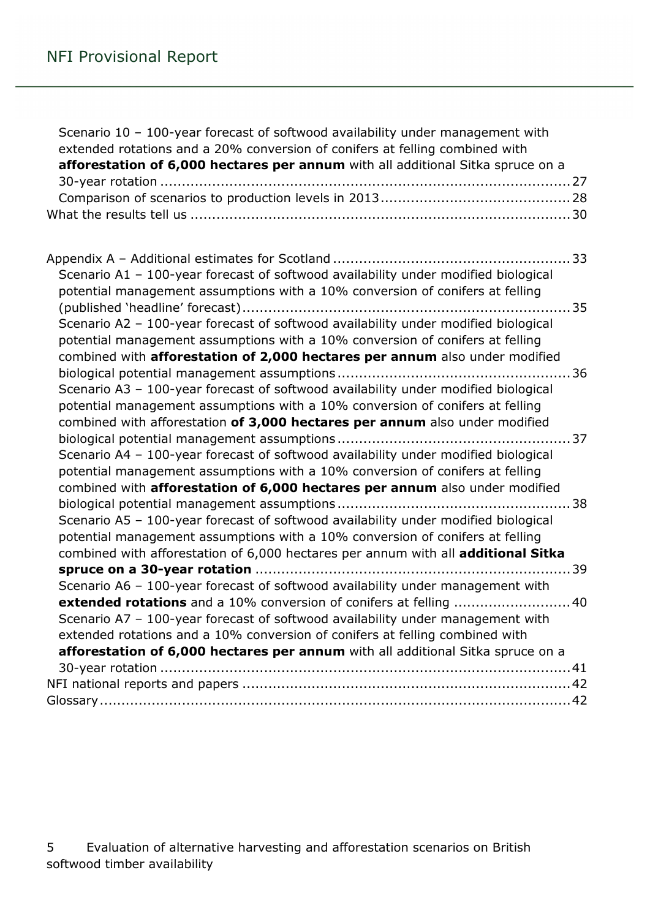| Scenario 10 - 100-year forecast of softwood availability under management with<br>extended rotations and a 20% conversion of conifers at felling combined with<br>afforestation of 6,000 hectares per annum with all additional Sitka spruce on a  |  |
|----------------------------------------------------------------------------------------------------------------------------------------------------------------------------------------------------------------------------------------------------|--|
|                                                                                                                                                                                                                                                    |  |
|                                                                                                                                                                                                                                                    |  |
| Scenario A1 - 100-year forecast of softwood availability under modified biological                                                                                                                                                                 |  |
| potential management assumptions with a 10% conversion of conifers at felling                                                                                                                                                                      |  |
|                                                                                                                                                                                                                                                    |  |
| Scenario A2 - 100-year forecast of softwood availability under modified biological<br>potential management assumptions with a 10% conversion of conifers at felling<br>combined with afforestation of 2,000 hectares per annum also under modified |  |
|                                                                                                                                                                                                                                                    |  |
| Scenario A3 - 100-year forecast of softwood availability under modified biological                                                                                                                                                                 |  |
| potential management assumptions with a 10% conversion of conifers at felling                                                                                                                                                                      |  |
| combined with afforestation of 3,000 hectares per annum also under modified                                                                                                                                                                        |  |
|                                                                                                                                                                                                                                                    |  |
| Scenario A4 - 100-year forecast of softwood availability under modified biological                                                                                                                                                                 |  |
| potential management assumptions with a 10% conversion of conifers at felling                                                                                                                                                                      |  |
| combined with afforestation of 6,000 hectares per annum also under modified                                                                                                                                                                        |  |
| Scenario A5 - 100-year forecast of softwood availability under modified biological                                                                                                                                                                 |  |
| potential management assumptions with a 10% conversion of conifers at felling                                                                                                                                                                      |  |
| combined with afforestation of 6,000 hectares per annum with all additional Sitka                                                                                                                                                                  |  |
|                                                                                                                                                                                                                                                    |  |
| Scenario A6 - 100-year forecast of softwood availability under management with                                                                                                                                                                     |  |
| <b>extended rotations</b> and a 10% conversion of conifers at felling 40                                                                                                                                                                           |  |
| Scenario A7 - 100-year forecast of softwood availability under management with                                                                                                                                                                     |  |
| extended rotations and a 10% conversion of conifers at felling combined with                                                                                                                                                                       |  |
| afforestation of 6,000 hectares per annum with all additional Sitka spruce on a                                                                                                                                                                    |  |
|                                                                                                                                                                                                                                                    |  |
|                                                                                                                                                                                                                                                    |  |
|                                                                                                                                                                                                                                                    |  |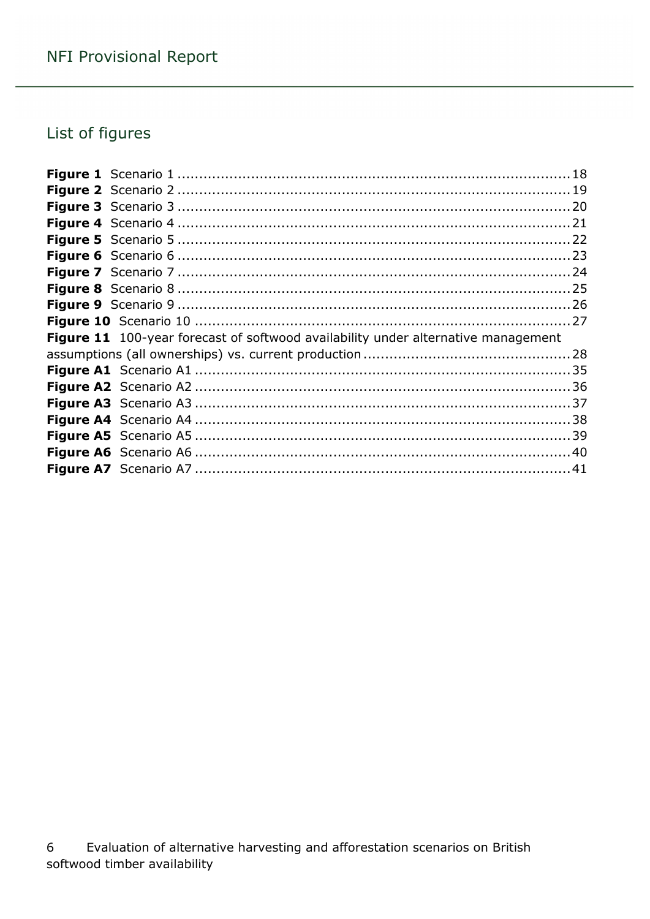# List of figures

| Figure 11 100-year forecast of softwood availability under alternative management |  |
|-----------------------------------------------------------------------------------|--|
|                                                                                   |  |
|                                                                                   |  |
|                                                                                   |  |
|                                                                                   |  |
|                                                                                   |  |
|                                                                                   |  |
|                                                                                   |  |
|                                                                                   |  |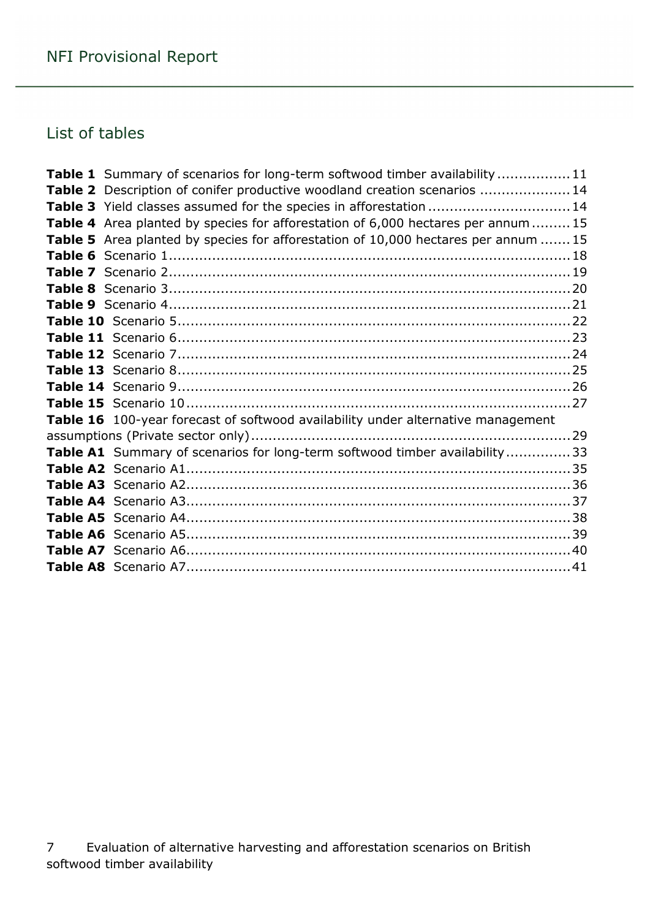## List of tables

| <b>Table 1</b> Summary of scenarios for long-term softwood timber availability 11 |  |
|-----------------------------------------------------------------------------------|--|
| Table 2 Description of conifer productive woodland creation scenarios  14         |  |
| Table 3 Yield classes assumed for the species in afforestation  14                |  |
| Table 4 Area planted by species for afforestation of 6,000 hectares per annum  15 |  |
| Table 5 Area planted by species for afforestation of 10,000 hectares per annum 15 |  |
|                                                                                   |  |
|                                                                                   |  |
|                                                                                   |  |
|                                                                                   |  |
|                                                                                   |  |
|                                                                                   |  |
|                                                                                   |  |
|                                                                                   |  |
|                                                                                   |  |
|                                                                                   |  |
| Table 16 100-year forecast of softwood availability under alternative management  |  |
|                                                                                   |  |
| Table A1 Summary of scenarios for long-term softwood timber availability33        |  |
|                                                                                   |  |
|                                                                                   |  |
|                                                                                   |  |
|                                                                                   |  |
|                                                                                   |  |
|                                                                                   |  |
|                                                                                   |  |
|                                                                                   |  |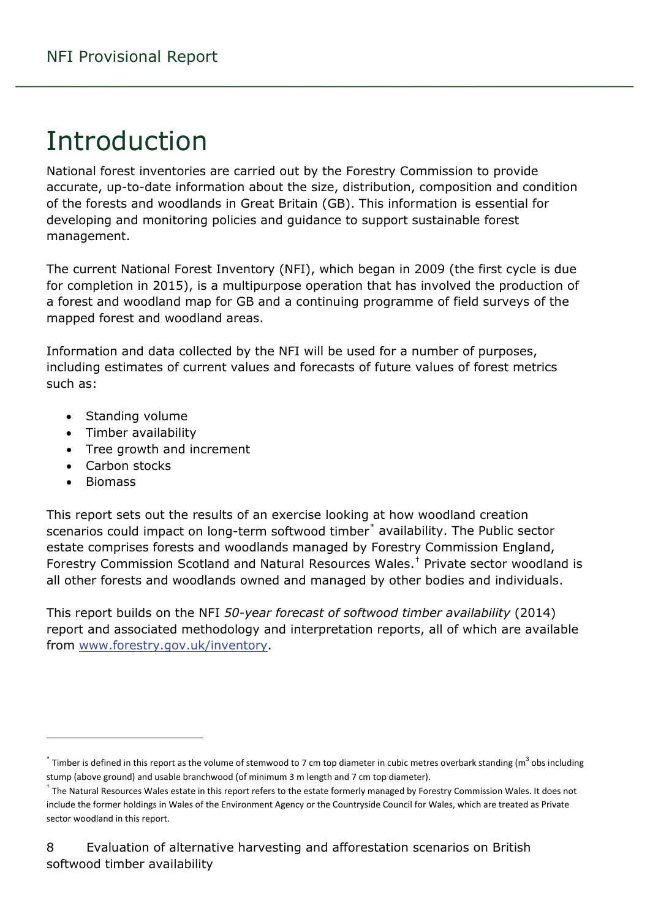# <span id="page-7-0"></span>Introduction

National forest inventories are carried out by the Forestry Commission to provide accurate, up-to-date information about the size, distribution, composition and condition of the forests and woodlands in Great Britain (GB). This information is essential for developing and monitoring policies and guidance to support sustainable forest management.

The current National Forest Inventory (NFI), which began in 2009 (the first cycle is due for completion in 2015), is a multipurpose operation that has involved the production of a forest and woodland map for GB and a continuing programme of field surveys of the mapped forest and woodland areas.

Information and data collected by the NFI will be used for a number of purposes, including estimates of current values and forecasts of future values of forest metrics such as:

- Standing volume
- Timber availability
- Tree growth and increment
- Carbon stocks
- Biomass

 $\overline{a}$ 

This report sets out the results of an exercise looking at how woodland creation scenarios could impact on long-term softwood timber<sup>[\\*](#page-7-1)</sup> availability. The Public sector estate comprises forests and woodlands managed by Forestry Commission England, Forestry Commission Scotland and Natural Resources Wales. [†](#page-7-2) Private sector woodland is all other forests and woodlands owned and managed by other bodies and individuals.

This report builds on the NFI *50-year forecast of softwood timber availability* (2014) report and associated methodology and interpretation reports, all of which are available from [www.forestry.gov.uk/inventory.](http://www.forestry.gov.uk/inventory)

<span id="page-7-1"></span> $*$  Timber is defined in this report as the volume of stemwood to 7 cm top diameter in cubic metres overbark standing (m<sup>3</sup> obs including stump (above ground) and usable branchwood (of minimum 3 m length and 7 cm top diameter).

<span id="page-7-2"></span><sup>&</sup>lt;sup>†</sup> The Natural Resources Wales estate in this report refers to the estate formerly managed by Forestry Commission Wales. It does not include the former holdings in Wales of the Environment Agency or the Countryside Council for Wales, which are treated as Private sector woodland in this report.

<sup>8</sup> Evaluation of alternative harvesting and afforestation scenarios on British softwood timber availability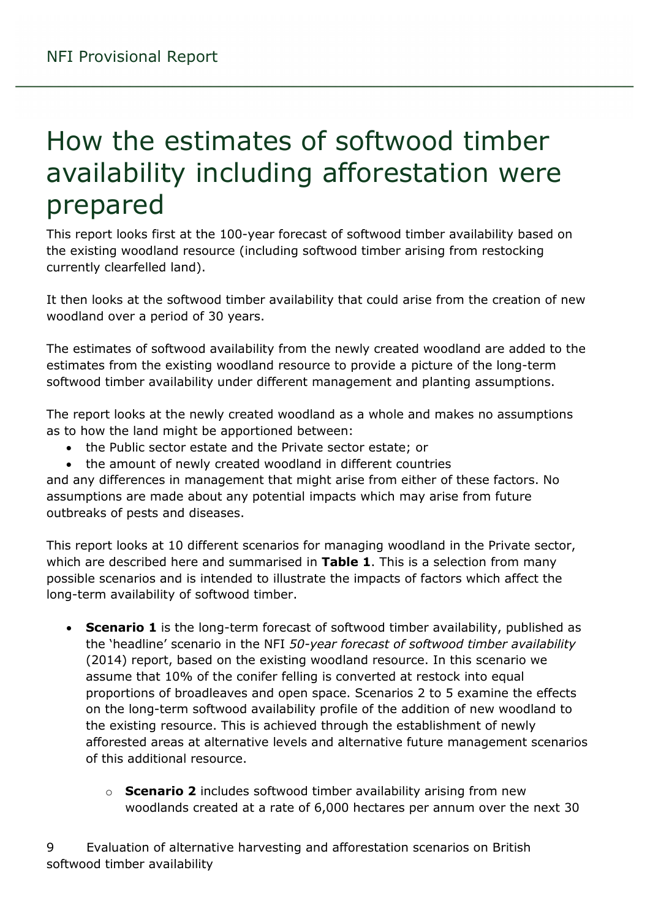# <span id="page-8-0"></span>How the estimates of softwood timber availability including afforestation were prepared

This report looks first at the 100-year forecast of softwood timber availability based on the existing woodland resource (including softwood timber arising from restocking currently clearfelled land).

It then looks at the softwood timber availability that could arise from the creation of new woodland over a period of 30 years.

The estimates of softwood availability from the newly created woodland are added to the estimates from the existing woodland resource to provide a picture of the long-term softwood timber availability under different management and planting assumptions.

The report looks at the newly created woodland as a whole and makes no assumptions as to how the land might be apportioned between:

- the Public sector estate and the Private sector estate; or
- the amount of newly created woodland in different countries

and any differences in management that might arise from either of these factors. No assumptions are made about any potential impacts which may arise from future outbreaks of pests and diseases.

This report looks at 10 different scenarios for managing woodland in the Private sector, which are described here and summarised in **Table 1**. This is a selection from many possible scenarios and is intended to illustrate the impacts of factors which affect the long-term availability of softwood timber.

- **Scenario 1** is the long-term forecast of softwood timber availability, published as the 'headline' scenario in the NFI *50-year forecast of softwood timber availability* (2014) report, based on the existing woodland resource. In this scenario we assume that 10% of the conifer felling is converted at restock into equal proportions of broadleaves and open space. Scenarios 2 to 5 examine the effects on the long-term softwood availability profile of the addition of new woodland to the existing resource. This is achieved through the establishment of newly afforested areas at alternative levels and alternative future management scenarios of this additional resource.
	- o **Scenario 2** includes softwood timber availability arising from new woodlands created at a rate of 6,000 hectares per annum over the next 30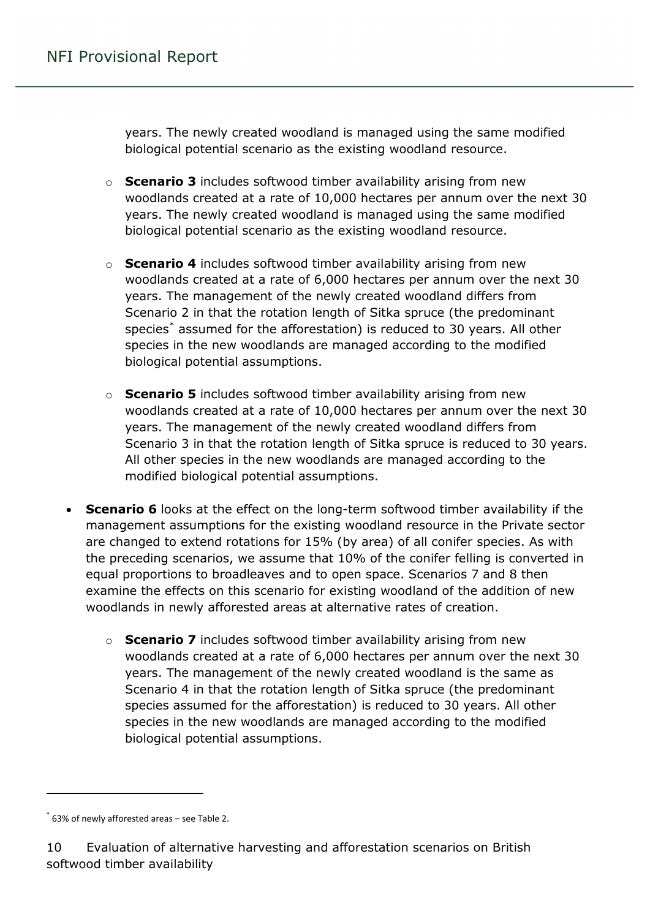years. The newly created woodland is managed using the same modified biological potential scenario as the existing woodland resource.

- o **Scenario 3** includes softwood timber availability arising from new woodlands created at a rate of 10,000 hectares per annum over the next 30 years. The newly created woodland is managed using the same modified biological potential scenario as the existing woodland resource.
- o **Scenario 4** includes softwood timber availability arising from new woodlands created at a rate of 6,000 hectares per annum over the next 30 years. The management of the newly created woodland differs from Scenario 2 in that the rotation length of Sitka spruce (the predominant species<sup>[\\*](#page-9-0)</sup> assumed for the afforestation) is reduced to 30 years. All other species in the new woodlands are managed according to the modified biological potential assumptions.
- o **Scenario 5** includes softwood timber availability arising from new woodlands created at a rate of 10,000 hectares per annum over the next 30 years. The management of the newly created woodland differs from Scenario 3 in that the rotation length of Sitka spruce is reduced to 30 years. All other species in the new woodlands are managed according to the modified biological potential assumptions.
- **Scenario 6** looks at the effect on the long-term softwood timber availability if the management assumptions for the existing woodland resource in the Private sector are changed to extend rotations for 15% (by area) of all conifer species. As with the preceding scenarios, we assume that 10% of the conifer felling is converted in equal proportions to broadleaves and to open space. Scenarios 7 and 8 then examine the effects on this scenario for existing woodland of the addition of new woodlands in newly afforested areas at alternative rates of creation.
	- o **Scenario 7** includes softwood timber availability arising from new woodlands created at a rate of 6,000 hectares per annum over the next 30 years. The management of the newly created woodland is the same as Scenario 4 in that the rotation length of Sitka spruce (the predominant species assumed for the afforestation) is reduced to 30 years. All other species in the new woodlands are managed according to the modified biological potential assumptions.

 $\overline{a}$ 

<span id="page-9-0"></span> $*$  63% of newly afforested areas – see Table 2.

<sup>10</sup> Evaluation of alternative harvesting and afforestation scenarios on British softwood timber availability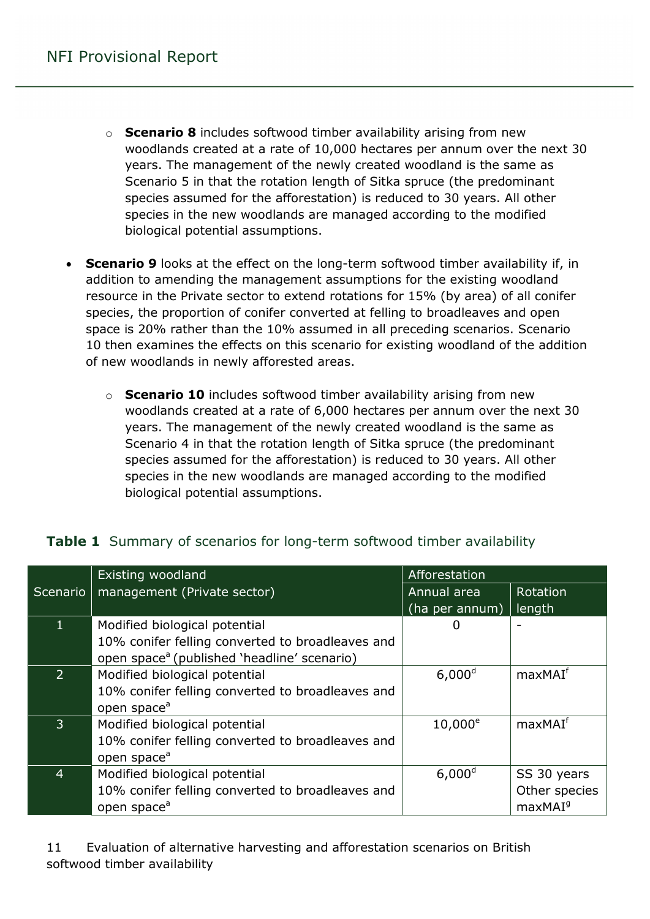- o **Scenario 8** includes softwood timber availability arising from new woodlands created at a rate of 10,000 hectares per annum over the next 30 years. The management of the newly created woodland is the same as Scenario 5 in that the rotation length of Sitka spruce (the predominant species assumed for the afforestation) is reduced to 30 years. All other species in the new woodlands are managed according to the modified biological potential assumptions.
- **Scenario 9** looks at the effect on the long-term softwood timber availability if, in addition to amending the management assumptions for the existing woodland resource in the Private sector to extend rotations for 15% (by area) of all conifer species, the proportion of conifer converted at felling to broadleaves and open space is 20% rather than the 10% assumed in all preceding scenarios. Scenario 10 then examines the effects on this scenario for existing woodland of the addition of new woodlands in newly afforested areas.
	- o **Scenario 10** includes softwood timber availability arising from new woodlands created at a rate of 6,000 hectares per annum over the next 30 years. The management of the newly created woodland is the same as Scenario 4 in that the rotation length of Sitka spruce (the predominant species assumed for the afforestation) is reduced to 30 years. All other species in the new woodlands are managed according to the modified biological potential assumptions.

|                | Existing woodland                                       | Afforestation  |                     |
|----------------|---------------------------------------------------------|----------------|---------------------|
|                | Scenario   management (Private sector)                  | Annual area    | Rotation            |
|                |                                                         | (ha per annum) | length              |
|                | Modified biological potential                           |                |                     |
|                | 10% conifer felling converted to broadleaves and        |                |                     |
|                | open space <sup>a</sup> (published 'headline' scenario) |                |                     |
| $\overline{2}$ | Modified biological potential                           | $6,000^d$      | maxMAI <sup>f</sup> |
|                | 10% conifer felling converted to broadleaves and        |                |                     |
|                | open space <sup>a</sup>                                 |                |                     |
| 3              | Modified biological potential                           | $10,000^e$     | maxMAI <sup>f</sup> |
|                | 10% conifer felling converted to broadleaves and        |                |                     |
|                | open space <sup>a</sup>                                 |                |                     |
| 4              | Modified biological potential                           | $6,000^d$      | SS 30 years         |
|                | 10% conifer felling converted to broadleaves and        |                | Other species       |
|                | open space <sup>a</sup>                                 |                | maxMAI <sup>9</sup> |

#### <span id="page-10-0"></span>**Table 1** Summary of scenarios for long-term softwood timber availability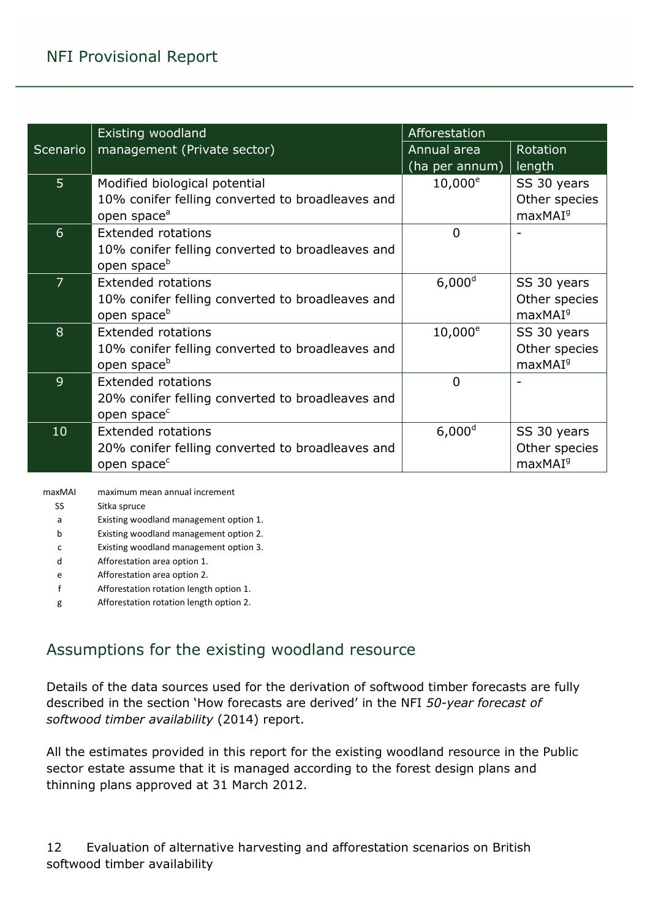|                | Existing woodland                                | Afforestation  |                     |
|----------------|--------------------------------------------------|----------------|---------------------|
| Scenario       | management (Private sector)                      | Annual area    | Rotation            |
|                |                                                  | (ha per annum) | length              |
| 5 <sup>1</sup> | Modified biological potential                    | $10,000^e$     | SS 30 years         |
|                | 10% conifer felling converted to broadleaves and |                | Other species       |
|                | open space <sup>a</sup>                          |                | maxMAI <sup>9</sup> |
| 6              | <b>Extended rotations</b>                        | 0              |                     |
|                | 10% conifer felling converted to broadleaves and |                |                     |
|                | open space <sup>b</sup>                          |                |                     |
| $\overline{7}$ | Extended rotations                               | $6,000^d$      | SS 30 years         |
|                | 10% conifer felling converted to broadleaves and |                | Other species       |
|                | open space <sup>b</sup>                          |                | maxMAI <sup>9</sup> |
| 8              | <b>Extended rotations</b>                        | $10,000^e$     | SS 30 years         |
|                | 10% conifer felling converted to broadleaves and |                | Other species       |
|                | open space <sup>b</sup>                          |                | maxMAI <sup>9</sup> |
| 9              | <b>Extended rotations</b>                        | $\overline{0}$ |                     |
|                | 20% conifer felling converted to broadleaves and |                |                     |
|                | open space <sup>c</sup>                          |                |                     |
| 10             | <b>Extended rotations</b>                        | $6,000^d$      | SS 30 years         |
|                | 20% conifer felling converted to broadleaves and |                | Other species       |
|                | open space <sup>c</sup>                          |                | maxMAI <sup>9</sup> |

maxMAI maximum mean annual increment

SS Sitka spruce

- a Existing woodland management option 1.
- b Existing woodland management option 2.

c Existing woodland management option 3.

- d Afforestation area option 1.
- e Afforestation area option 2.
- f Afforestation rotation length option 1.
- g Afforestation rotation length option 2.

### <span id="page-11-0"></span>Assumptions for the existing woodland resource

Details of the data sources used for the derivation of softwood timber forecasts are fully described in the section 'How forecasts are derived' in the NFI *50-year forecast of softwood timber availability* (2014) report.

All the estimates provided in this report for the existing woodland resource in the Public sector estate assume that it is managed according to the forest design plans and thinning plans approved at 31 March 2012.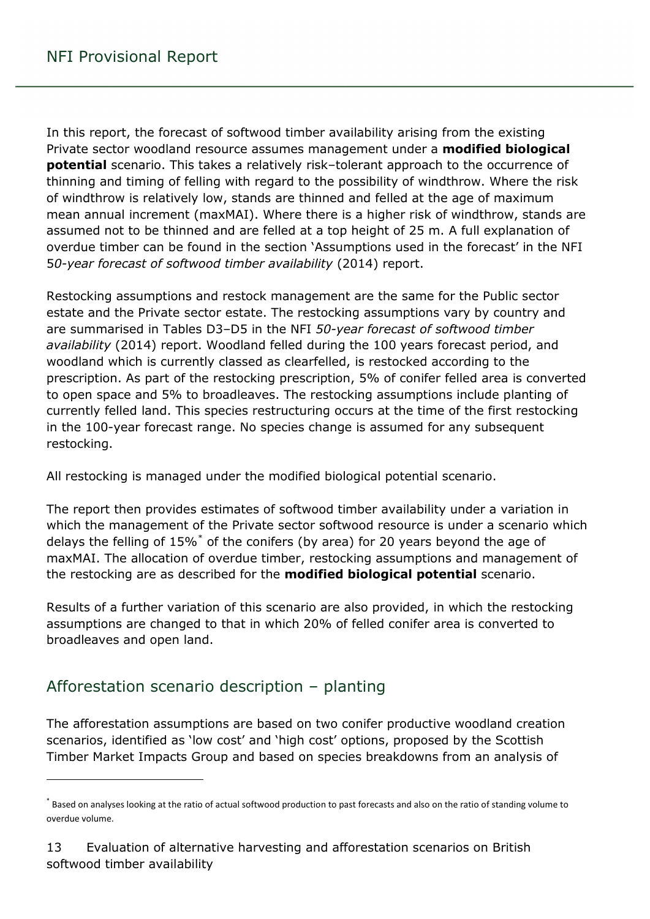In this report, the forecast of softwood timber availability arising from the existing Private sector woodland resource assumes management under a **modified biological potential** scenario. This takes a relatively risk–tolerant approach to the occurrence of thinning and timing of felling with regard to the possibility of windthrow. Where the risk of windthrow is relatively low, stands are thinned and felled at the age of maximum mean annual increment (maxMAI). Where there is a higher risk of windthrow, stands are assumed not to be thinned and are felled at a top height of 25 m. A full explanation of overdue timber can be found in the section 'Assumptions used in the forecast' in the NFI 5*0-year forecast of softwood timber availability* (2014) report.

Restocking assumptions and restock management are the same for the Public sector estate and the Private sector estate. The restocking assumptions vary by country and are summarised in Tables D3–D5 in the NFI *50-year forecast of softwood timber availability* (2014) report. Woodland felled during the 100 years forecast period, and woodland which is currently classed as clearfelled, is restocked according to the prescription. As part of the restocking prescription, 5% of conifer felled area is converted to open space and 5% to broadleaves. The restocking assumptions include planting of currently felled land. This species restructuring occurs at the time of the first restocking in the 100-year forecast range. No species change is assumed for any subsequent restocking.

All restocking is managed under the modified biological potential scenario.

The report then provides estimates of softwood timber availability under a variation in which the management of the Private sector softwood resource is under a scenario which delays the felling of  $15\%$  of the conifers (by area) for 20 years beyond the age of maxMAI. The allocation of overdue timber, restocking assumptions and management of the restocking are as described for the **modified biological potential** scenario.

Results of a further variation of this scenario are also provided, in which the restocking assumptions are changed to that in which 20% of felled conifer area is converted to broadleaves and open land.

### <span id="page-12-0"></span>Afforestation scenario description – planting

 $\overline{a}$ 

The afforestation assumptions are based on two conifer productive woodland creation scenarios, identified as 'low cost' and 'high cost' options, proposed by the Scottish Timber Market Impacts Group and based on species breakdowns from an analysis of

<span id="page-12-1"></span><sup>\*</sup> Based on analyses looking at the ratio of actual softwood production to past forecasts and also on the ratio of standing volume to overdue volume.

<sup>13</sup> Evaluation of alternative harvesting and afforestation scenarios on British softwood timber availability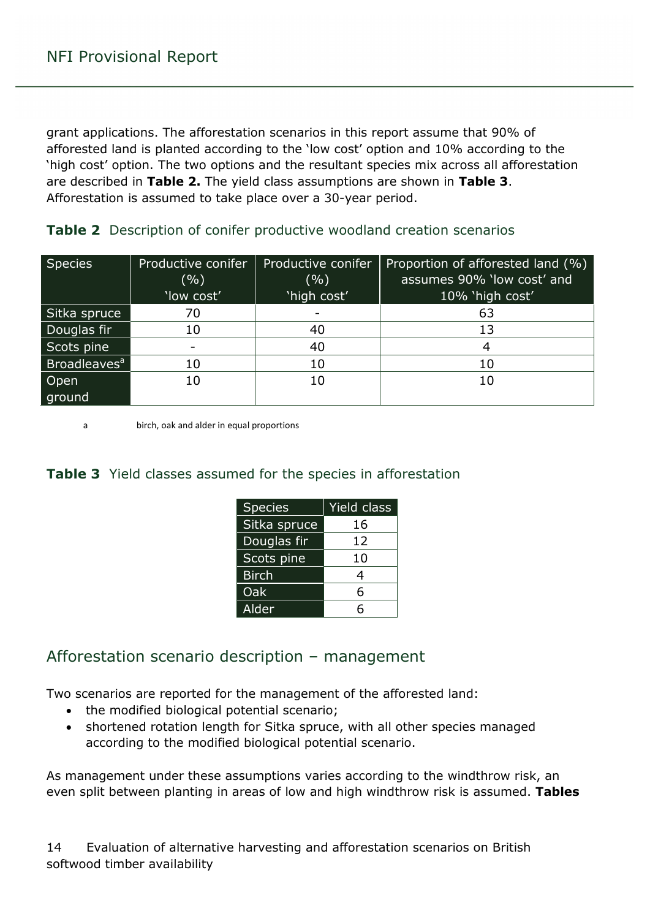grant applications. The afforestation scenarios in this report assume that 90% of afforested land is planted according to the 'low cost' option and 10% according to the 'high cost' option. The two options and the resultant species mix across all afforestation are described in **Table 2.** The yield class assumptions are shown in **Table 3**. Afforestation is assumed to take place over a 30-year period.

| <b>Species</b>           | Productive conifer<br>$($ %)<br>'low cost' | Productive conifer<br>( %)<br>'high cost' | Proportion of afforested land (%)<br>assumes 90% 'low cost' and<br>10% 'high cost' |
|--------------------------|--------------------------------------------|-------------------------------------------|------------------------------------------------------------------------------------|
| Sitka spruce             | 70                                         | $\overline{\phantom{0}}$                  | 63                                                                                 |
| Douglas fir              | 10                                         | 40                                        | 13                                                                                 |
| Scots pine               | -                                          | 40                                        | 4                                                                                  |
| Broadleaves <sup>a</sup> | 10                                         | 10                                        | 10                                                                                 |
| Open                     | 10                                         | 10                                        | 10                                                                                 |
| ground                   |                                            |                                           |                                                                                    |

<span id="page-13-1"></span>**Table 2** Description of conifer productive woodland creation scenarios

a birch, oak and alder in equal proportions

#### <span id="page-13-2"></span>**Table 3** Yield classes assumed for the species in afforestation

| <b>Species</b> | Yield class |  |
|----------------|-------------|--|
| Sitka spruce   | 16          |  |
| Douglas fir    | 12          |  |
| Scots pine     | 10          |  |
| <b>Birch</b>   | 4           |  |
| Oak            | 6           |  |
| Alder          | հ           |  |

### <span id="page-13-0"></span>Afforestation scenario description – management

Two scenarios are reported for the management of the afforested land:

- the modified biological potential scenario;
- shortened rotation length for Sitka spruce, with all other species managed according to the modified biological potential scenario.

As management under these assumptions varies according to the windthrow risk, an even split between planting in areas of low and high windthrow risk is assumed. **Tables**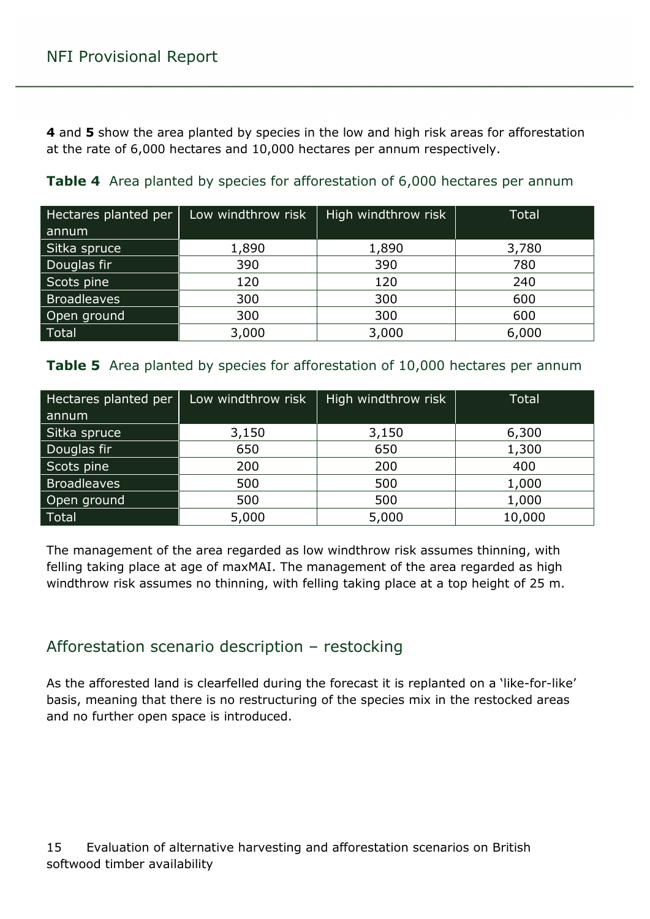**4** and **5** show the area planted by species in the low and high risk areas for afforestation at the rate of 6,000 hectares and 10,000 hectares per annum respectively.

| Hectares planted per | Low windthrow risk | High windthrow risk | <b>Total</b> |
|----------------------|--------------------|---------------------|--------------|
| annum                |                    |                     |              |
| Sitka spruce         | 1,890              | 1,890               | 3,780        |
| Douglas fir          | 390                | 390                 | 780          |
| Scots pine           | 120                | 120                 | 240          |
| <b>Broadleaves</b>   | 300                | 300                 | 600          |
| Open ground          | 300                | 300                 | 600          |
| <b>Total</b>         | 3,000              | 3,000               | 6,000        |

<span id="page-14-1"></span>**Table 4** Area planted by species for afforestation of 6,000 hectares per annum

<span id="page-14-2"></span>

|  |  |  | Table 5 Area planted by species for afforestation of 10,000 hectares per annum |  |  |  |
|--|--|--|--------------------------------------------------------------------------------|--|--|--|
|--|--|--|--------------------------------------------------------------------------------|--|--|--|

| Hectares planted per | Low windthrow risk | High windthrow risk | <b>Total</b> |
|----------------------|--------------------|---------------------|--------------|
| annum                |                    |                     |              |
| Sitka spruce         | 3,150              | 3,150               | 6,300        |
| Douglas fir          | 650                | 650                 | 1,300        |
| Scots pine           | 200                | 200                 | 400          |
| <b>Broadleaves</b>   | 500                | 500                 | 1,000        |
| Open ground          | 500                | 500                 | 1,000        |
| <b>Total</b>         | 5,000              | 5,000               | 10,000       |

The management of the area regarded as low windthrow risk assumes thinning, with felling taking place at age of maxMAI. The management of the area regarded as high windthrow risk assumes no thinning, with felling taking place at a top height of 25 m.

### <span id="page-14-0"></span>Afforestation scenario description – restocking

As the afforested land is clearfelled during the forecast it is replanted on a 'like-for-like' basis, meaning that there is no restructuring of the species mix in the restocked areas and no further open space is introduced.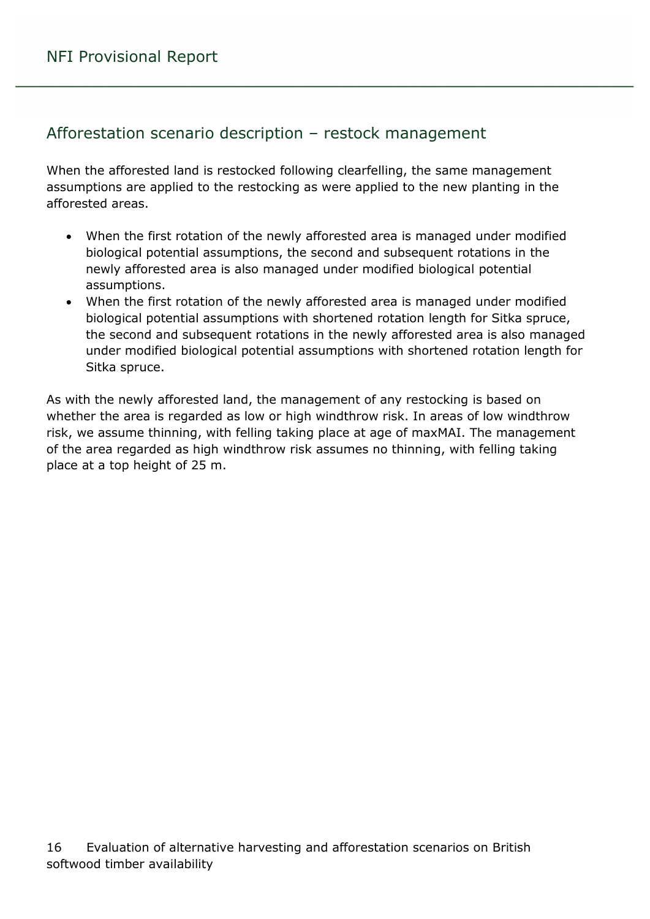### <span id="page-15-0"></span>Afforestation scenario description – restock management

When the afforested land is restocked following clearfelling, the same management assumptions are applied to the restocking as were applied to the new planting in the afforested areas.

- When the first rotation of the newly afforested area is managed under modified biological potential assumptions, the second and subsequent rotations in the newly afforested area is also managed under modified biological potential assumptions.
- When the first rotation of the newly afforested area is managed under modified biological potential assumptions with shortened rotation length for Sitka spruce, the second and subsequent rotations in the newly afforested area is also managed under modified biological potential assumptions with shortened rotation length for Sitka spruce.

As with the newly afforested land, the management of any restocking is based on whether the area is regarded as low or high windthrow risk. In areas of low windthrow risk, we assume thinning, with felling taking place at age of maxMAI. The management of the area regarded as high windthrow risk assumes no thinning, with felling taking place at a top height of 25 m.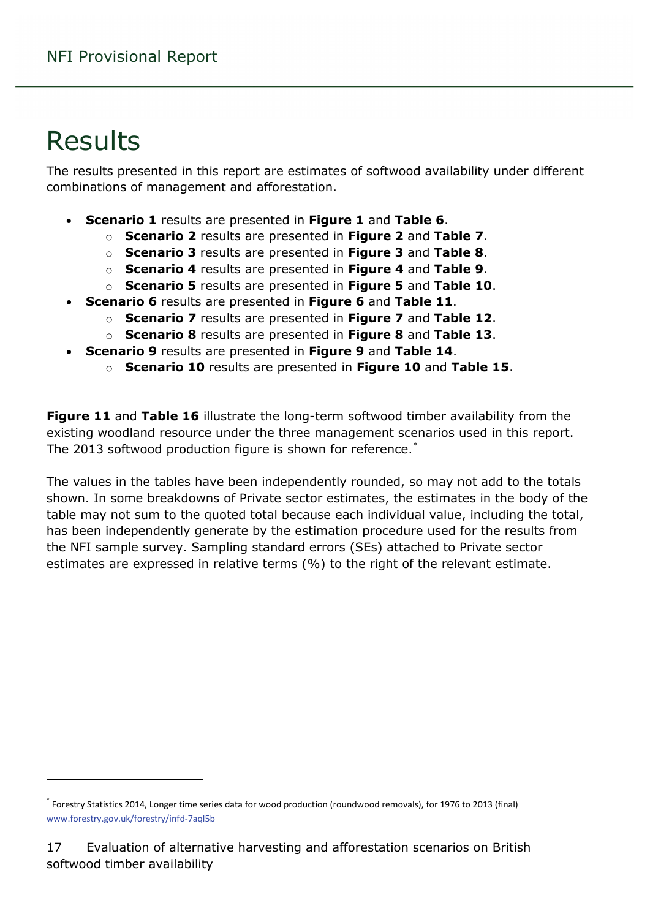# <span id="page-16-0"></span>Results

 $\overline{a}$ 

The results presented in this report are estimates of softwood availability under different combinations of management and afforestation.

- **Scenario 1** results are presented in **Figure 1** and **Table 6**.
	- o **Scenario 2** results are presented in **Figure 2** and **Table 7**.
	- o **Scenario 3** results are presented in **Figure 3** and **Table 8**.
	- o **Scenario 4** results are presented in **Figure 4** and **Table 9**.
	- o **Scenario 5** results are presented in **Figure 5** and **Table 10**.
- **Scenario 6** results are presented in **Figure 6** and **Table 11**.
	- o **Scenario 7** results are presented in **Figure 7** and **Table 12**.
	- o **Scenario 8** results are presented in **Figure 8** and **Table 13**.
- **Scenario 9** results are presented in **Figure 9** and **Table 14**.
	- o **Scenario 10** results are presented in **Figure 10** and **Table 15**.

**Figure 11** and **Table 16** illustrate the long-term softwood timber availability from the existing woodland resource under the three management scenarios used in this report. The 2013 softwood production figure is shown for reference. $\degree$ 

The values in the tables have been independently rounded, so may not add to the totals shown. In some breakdowns of Private sector estimates, the estimates in the body of the table may not sum to the quoted total because each individual value, including the total, has been independently generate by the estimation procedure used for the results from the NFI sample survey. Sampling standard errors (SEs) attached to Private sector estimates are expressed in relative terms (%) to the right of the relevant estimate.

<span id="page-16-1"></span><sup>\*</sup> Forestry Statistics 2014, Longer time series data for wood production (roundwood removals), for 1976 to 2013 (final) [www.forestry.gov.uk/forestry/infd-7aql5b](http://www.forestry.gov.uk/forestry/infd-7aql5b)

<sup>17</sup> Evaluation of alternative harvesting and afforestation scenarios on British softwood timber availability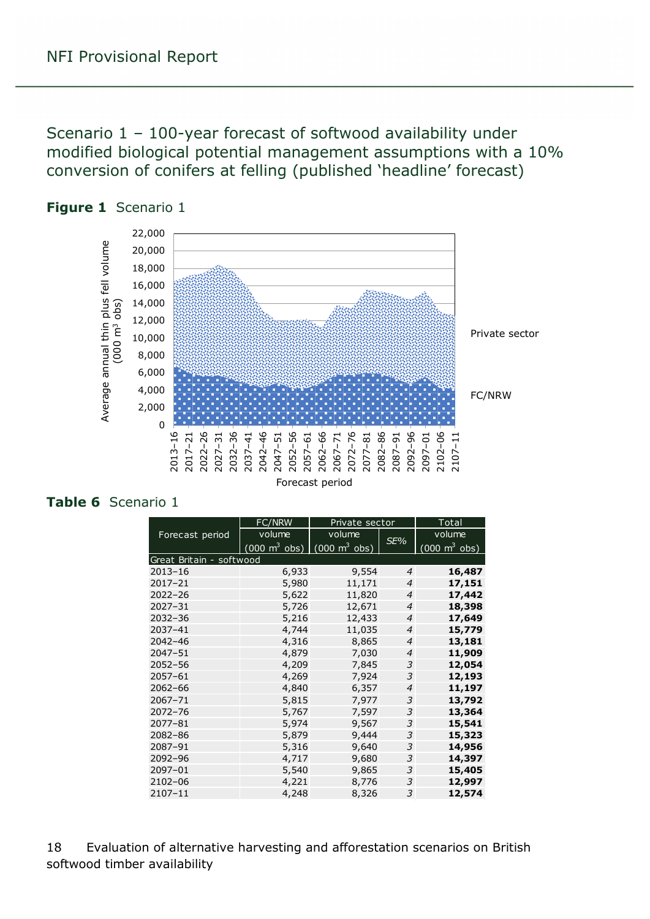<span id="page-17-0"></span>Scenario 1 – 100-year forecast of softwood availability under modified biological potential management assumptions with a 10% conversion of conifers at felling (published 'headline' forecast)



<span id="page-17-1"></span>

#### <span id="page-17-2"></span>**Table 6** Scenario 1

|                          | FC/NRW                            | Private sector                  |                | Total                               |
|--------------------------|-----------------------------------|---------------------------------|----------------|-------------------------------------|
| Forecast period          | volume                            | volume                          | SE%            | volume                              |
|                          | (000 m $\frac{3}{3}$ obs) $\vert$ | $(000 \text{ m}^3 \text{ obs})$ |                | $(000 \; \text{m}^3 \; \text{obs})$ |
| Great Britain - softwood |                                   |                                 |                |                                     |
| $2013 - 16$              | 6,933                             | 9,554                           | $\overline{4}$ | 16,487                              |
| $2017 - 21$              | 5,980                             | 11,171                          | 4              | 17,151                              |
| $2022 - 26$              | 5,622                             | 11,820                          | $\overline{4}$ | 17,442                              |
| $2027 - 31$              | 5,726                             | 12,671                          | $\overline{4}$ | 18,398                              |
| $2032 - 36$              | 5,216                             | 12,433                          | $\overline{4}$ | 17,649                              |
| 2037-41                  | 4,744                             | 11,035                          | $\overline{4}$ | 15,779                              |
| $2042 - 46$              | 4,316                             | 8,865                           | 4              | 13,181                              |
| $2047 - 51$              | 4,879                             | 7,030                           | $\overline{4}$ | 11,909                              |
| $2052 - 56$              | 4,209                             | 7,845                           | 3              | 12,054                              |
| $2057 - 61$              | 4,269                             | 7,924                           | 3              | 12,193                              |
| $2062 - 66$              | 4,840                             | 6,357                           | $\overline{4}$ | 11,197                              |
| 2067-71                  | 5,815                             | 7,977                           | 3              | 13,792                              |
| $2072 - 76$              | 5,767                             | 7,597                           | 3              | 13,364                              |
| $2077 - 81$              | 5,974                             | 9,567                           | 3              | 15,541                              |
| 2082-86                  | 5,879                             | 9,444                           | 3              | 15,323                              |
| 2087-91                  | 5,316                             | 9,640                           | 3              | 14,956                              |
| 2092-96                  | 4,717                             | 9,680                           | 3              | 14,397                              |
| 2097-01                  | 5,540                             | 9,865                           | 3              | 15,405                              |
| 2102-06                  | 4,221                             | 8,776                           | 3              | 12,997                              |
| $2107 - 11$              | 4,248                             | 8,326                           | 3              | 12,574                              |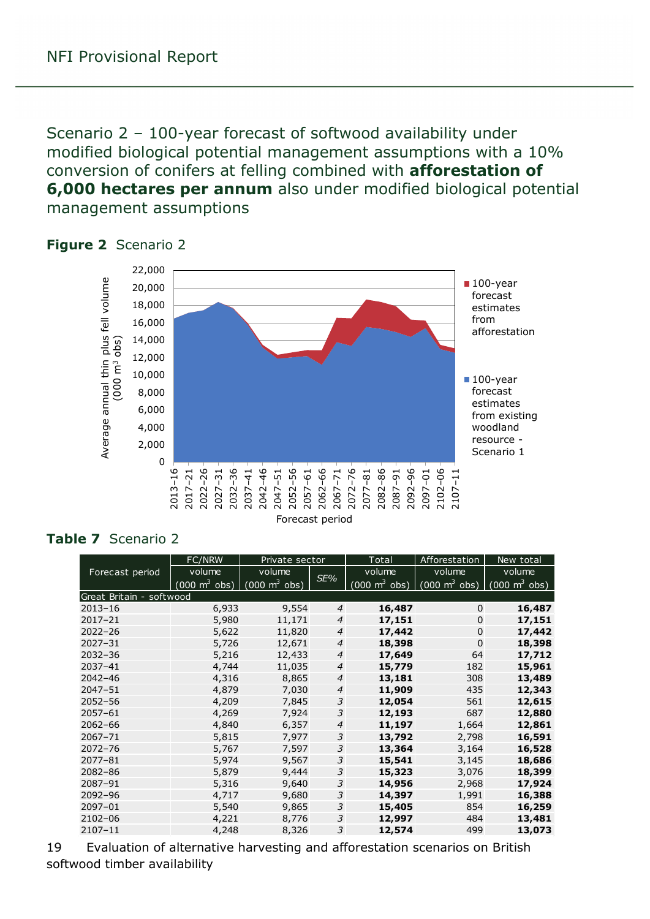<span id="page-18-0"></span>Scenario 2 – 100-year forecast of softwood availability under modified biological potential management assumptions with a 10% conversion of conifers at felling combined with **afforestation of 6,000 hectares per annum** also under modified biological potential management assumptions



#### <span id="page-18-1"></span>**Figure 2** Scenario 2

#### <span id="page-18-2"></span>**Table 7** Scenario 2

|                          | FC/NRW                              | Private sector                  |                | Total                           | Afforestation                   | New total                       |
|--------------------------|-------------------------------------|---------------------------------|----------------|---------------------------------|---------------------------------|---------------------------------|
| Forecast period          | volume                              | volume                          | SE%            | volume                          | volume                          | volume                          |
|                          | $(000 \; \text{m}^3 \; \text{obs})$ | $(000 \text{ m}^3 \text{ obs})$ |                | $(000 \text{ m}^3 \text{ obs})$ | $(000 \text{ m}^3 \text{ obs})$ | $(000 \text{ m}^3 \text{ obs})$ |
| Great Britain - softwood |                                     |                                 |                |                                 |                                 |                                 |
| $2013 - 16$              | 6,933                               | 9,554                           | 4              | 16,487                          | $\mathbf 0$                     | 16,487                          |
| $2017 - 21$              | 5,980                               | 11,171                          | 4              | 17,151                          | 0                               | 17,151                          |
| $2022 - 26$              | 5,622                               | 11,820                          | 4              | 17,442                          | $\mathbf 0$                     | 17,442                          |
| $2027 - 31$              | 5,726                               | 12,671                          | 4              | 18,398                          | $\Omega$                        | 18,398                          |
| $2032 - 36$              | 5,216                               | 12,433                          | $\overline{4}$ | 17,649                          | 64                              | 17,712                          |
| $2037 - 41$              | 4,744                               | 11,035                          | $\overline{4}$ | 15,779                          | 182                             | 15,961                          |
| $2042 - 46$              | 4,316                               | 8,865                           | $\overline{4}$ | 13,181                          | 308                             | 13,489                          |
| $2047 - 51$              | 4,879                               | 7,030                           | $\overline{4}$ | 11,909                          | 435                             | 12,343                          |
| $2052 - 56$              | 4,209                               | 7,845                           | 3              | 12,054                          | 561                             | 12,615                          |
| $2057 - 61$              | 4,269                               | 7,924                           | 3              | 12,193                          | 687                             | 12,880                          |
| $2062 - 66$              | 4,840                               | 6,357                           | $\overline{4}$ | 11,197                          | 1,664                           | 12,861                          |
| $2067 - 71$              | 5,815                               | 7,977                           | 3              | 13,792                          | 2,798                           | 16,591                          |
| $2072 - 76$              | 5,767                               | 7,597                           | 3              | 13,364                          | 3,164                           | 16,528                          |
| $2077 - 81$              | 5,974                               | 9,567                           | 3              | 15,541                          | 3,145                           | 18,686                          |
| $2082 - 86$              | 5,879                               | 9,444                           | 3              | 15,323                          | 3,076                           | 18,399                          |
| 2087-91                  | 5,316                               | 9,640                           | 3              | 14,956                          | 2,968                           | 17,924                          |
| 2092-96                  | 4,717                               | 9,680                           | 3              | 14,397                          | 1,991                           | 16,388                          |
| $2097 - 01$              | 5,540                               | 9,865                           | 3              | 15,405                          | 854                             | 16,259                          |
| 2102-06                  | 4,221                               | 8,776                           | 3              | 12,997                          | 484                             | 13,481                          |
| 2107-11                  | 4,248                               | 8,326                           | 3              | 12,574                          | 499                             | 13,073                          |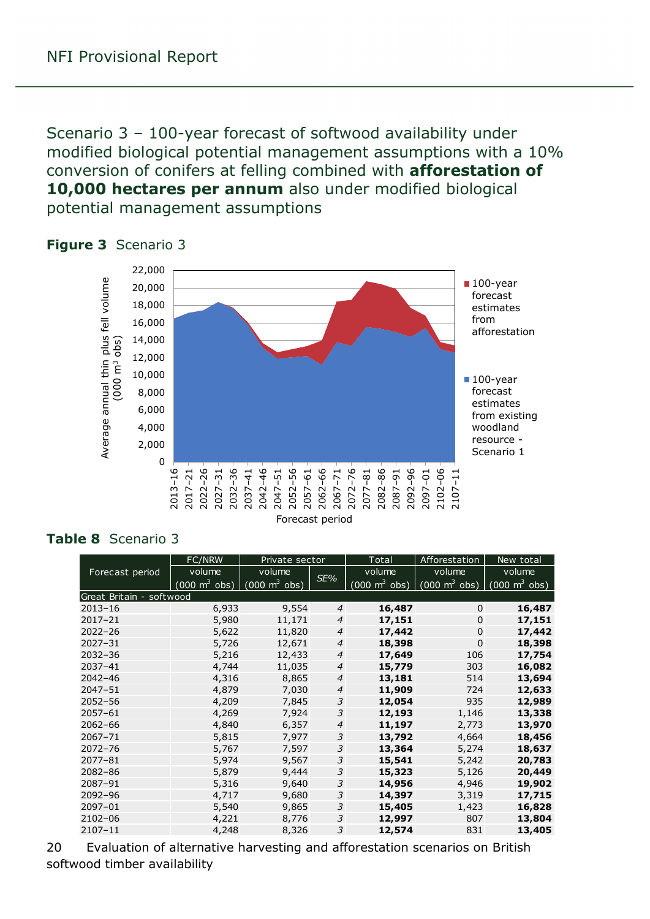<span id="page-19-0"></span>Scenario 3 – 100-year forecast of softwood availability under modified biological potential management assumptions with a 10% conversion of conifers at felling combined with **afforestation of 10,000 hectares per annum** also under modified biological potential management assumptions



#### <span id="page-19-1"></span>**Figure 3** Scenario 3

#### <span id="page-19-2"></span>**Table 8** Scenario 3

|                          | <b>FC/NRW</b>                   | Private sector                  |                | Total                   | Afforestation                                                   | New total |
|--------------------------|---------------------------------|---------------------------------|----------------|-------------------------|-----------------------------------------------------------------|-----------|
| Forecast period          | volume                          | volume                          | SE%            | volume                  | volume                                                          | volume    |
|                          | $(000 \text{ m}^3 \text{ obs})$ | $\int$ (000 m <sup>3</sup> obs) |                | (000 m $3$ obs) $\vert$ | $(000 \text{ m}^3 \text{ obs})$ $(000 \text{ m}^3 \text{ obs})$ |           |
| Great Britain - softwood |                                 |                                 |                |                         |                                                                 |           |
| $2013 - 16$              | 6,933                           | 9,554                           | $\overline{4}$ | 16,487                  | $\Omega$                                                        | 16,487    |
| $2017 - 21$              | 5,980                           | 11,171                          | 4              | 17,151                  | 0                                                               | 17,151    |
| $2022 - 26$              | 5,622                           | 11,820                          | 4              | 17,442                  | $\Omega$                                                        | 17,442    |
| $2027 - 31$              | 5,726                           | 12,671                          | 4              | 18,398                  | $\Omega$                                                        | 18,398    |
| $2032 - 36$              | 5,216                           | 12,433                          | $\overline{4}$ | 17,649                  | 106                                                             | 17,754    |
| $2037 - 41$              | 4,744                           | 11,035                          | $\overline{4}$ | 15,779                  | 303                                                             | 16,082    |
| $2042 - 46$              | 4,316                           | 8,865                           | $\overline{4}$ | 13,181                  | 514                                                             | 13,694    |
| $2047 - 51$              | 4,879                           | 7,030                           | $\overline{4}$ | 11,909                  | 724                                                             | 12,633    |
| $2052 - 56$              | 4,209                           | 7,845                           | 3              | 12,054                  | 935                                                             | 12,989    |
| $2057 - 61$              | 4,269                           | 7,924                           | 3              | 12,193                  | 1,146                                                           | 13,338    |
| $2062 - 66$              | 4,840                           | 6,357                           | $\overline{4}$ | 11,197                  | 2,773                                                           | 13,970    |
| $2067 - 71$              | 5,815                           | 7,977                           | 3              | 13,792                  | 4,664                                                           | 18,456    |
| $2072 - 76$              | 5,767                           | 7,597                           | 3              | 13,364                  | 5,274                                                           | 18,637    |
| $2077 - 81$              | 5,974                           | 9,567                           | 3              | 15,541                  | 5,242                                                           | 20,783    |
| $2082 - 86$              | 5,879                           | 9,444                           | 3              | 15,323                  | 5,126                                                           | 20,449    |
| 2087-91                  | 5,316                           | 9,640                           | 3              | 14,956                  | 4,946                                                           | 19,902    |
| $2092 - 96$              | 4,717                           | 9,680                           | 3              | 14,397                  | 3,319                                                           | 17,715    |
| 2097-01                  | 5,540                           | 9,865                           | 3              | 15,405                  | 1,423                                                           | 16,828    |
| $2102 - 06$              | 4,221                           | 8,776                           | 3              | 12,997                  | 807                                                             | 13,804    |
| $2107 - 11$              | 4,248                           | 8,326                           | 3              | 12,574                  | 831                                                             | 13,405    |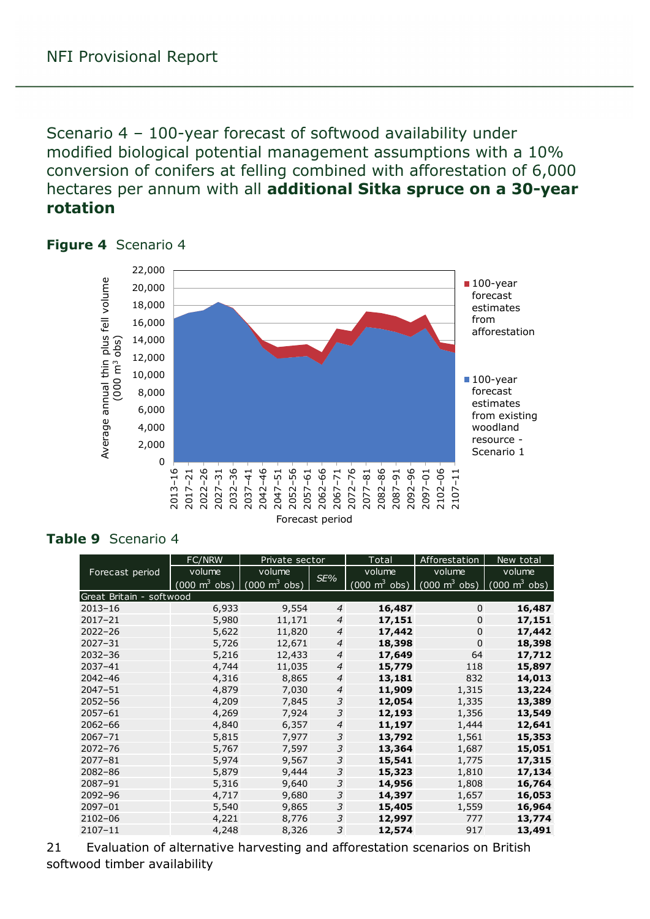<span id="page-20-0"></span>Scenario 4 – 100-year forecast of softwood availability under modified biological potential management assumptions with a 10% conversion of conifers at felling combined with afforestation of 6,000 hectares per annum with all **additional Sitka spruce on a 30-year rotation**



#### <span id="page-20-1"></span>**Figure 4** Scenario 4

#### <span id="page-20-2"></span>**Table 9** Scenario 4

|                          | FC/NRW                   | Private sector                  | <b>Total</b>   |                                 | Afforestation                                                   | New total |
|--------------------------|--------------------------|---------------------------------|----------------|---------------------------------|-----------------------------------------------------------------|-----------|
| Forecast period          | volume                   | volume                          | SE%            | volume                          | volume                                                          | volume    |
|                          | (000 $\mathrm{m}^3$ obs) | $(000 \text{ m}^3 \text{ obs})$ |                | $(000 \text{ m}^3 \text{ obs})$ | $(000 \text{ m}^3 \text{ obs})$ $(000 \text{ m}^3 \text{ obs})$ |           |
| Great Britain - softwood |                          |                                 |                |                                 |                                                                 |           |
| $2013 - 16$              | 6,933                    | 9,554                           | $\overline{4}$ | 16,487                          | $\Omega$                                                        | 16,487    |
| $2017 - 21$              | 5,980                    | 11,171                          | 4              | 17,151                          | 0                                                               | 17,151    |
| $2022 - 26$              | 5,622                    | 11,820                          | $\overline{4}$ | 17,442                          | $\Omega$                                                        | 17,442    |
| $2027 - 31$              | 5,726                    | 12,671                          | $\overline{4}$ | 18,398                          | $\Omega$                                                        | 18,398    |
| $2032 - 36$              | 5,216                    | 12,433                          | $\overline{4}$ | 17,649                          | 64                                                              | 17,712    |
| $2037 - 41$              | 4,744                    | 11,035                          | $\overline{4}$ | 15,779                          | 118                                                             | 15,897    |
| $2042 - 46$              | 4,316                    | 8,865                           | $\overline{4}$ | 13,181                          | 832                                                             | 14,013    |
| $2047 - 51$              | 4,879                    | 7,030                           | $\overline{4}$ | 11,909                          | 1,315                                                           | 13,224    |
| $2052 - 56$              | 4,209                    | 7,845                           | 3              | 12,054                          | 1,335                                                           | 13,389    |
| $2057 - 61$              | 4,269                    | 7,924                           | 3              | 12,193                          | 1,356                                                           | 13,549    |
| $2062 - 66$              | 4,840                    | 6,357                           | $\overline{4}$ | 11,197                          | 1,444                                                           | 12,641    |
| $2067 - 71$              | 5,815                    | 7,977                           | 3              | 13,792                          | 1,561                                                           | 15,353    |
| $2072 - 76$              | 5,767                    | 7,597                           | 3              | 13,364                          | 1,687                                                           | 15,051    |
| $2077 - 81$              | 5,974                    | 9,567                           | 3              | 15,541                          | 1,775                                                           | 17,315    |
| $2082 - 86$              | 5,879                    | 9,444                           | 3              | 15,323                          | 1,810                                                           | 17,134    |
| 2087-91                  | 5,316                    | 9,640                           | 3              | 14,956                          | 1,808                                                           | 16,764    |
| $2092 - 96$              | 4,717                    | 9,680                           | 3              | 14,397                          | 1,657                                                           | 16,053    |
| 2097-01                  | 5,540                    | 9,865                           | 3              | 15,405                          | 1,559                                                           | 16,964    |
| 2102-06                  | 4,221                    | 8,776                           | 3              | 12,997                          | 777                                                             | 13,774    |
| $2107 - 11$              | 4,248                    | 8,326                           | 3              | 12,574                          | 917                                                             | 13,491    |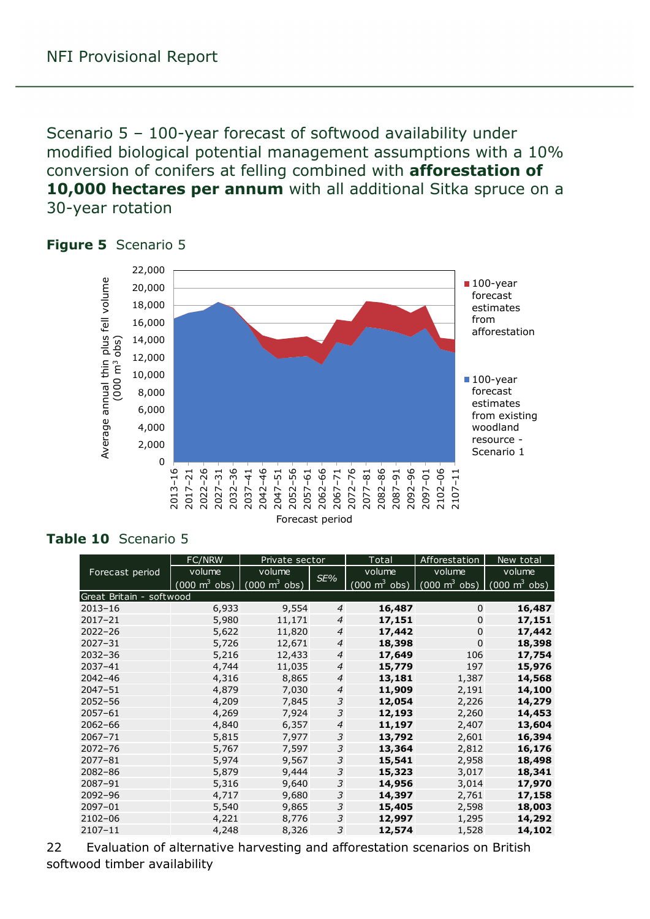<span id="page-21-0"></span>Scenario 5 – 100-year forecast of softwood availability under modified biological potential management assumptions with a 10% conversion of conifers at felling combined with **afforestation of 10,000 hectares per annum** with all additional Sitka spruce on a 30-year rotation



#### <span id="page-21-1"></span>**Figure 5** Scenario 5

#### <span id="page-21-2"></span>**Table 10** Scenario 5

|                          | <b>FC/NRW</b>                       | Private sector                  |                | Total                           | Afforestation                       | New total                       |
|--------------------------|-------------------------------------|---------------------------------|----------------|---------------------------------|-------------------------------------|---------------------------------|
| Forecast period          | volume                              | volume                          | SE%            | volume                          | volume                              | volume                          |
|                          | $(000 \; \text{m}^3 \; \text{obs})$ | $(000 \text{ m}^3 \text{ obs})$ |                | $(000 \text{ m}^3 \text{ obs})$ | $(000 \; \text{m}^3 \; \text{obs})$ | $(000 \text{ m}^3 \text{ obs})$ |
| Great Britain - softwood |                                     |                                 |                |                                 |                                     |                                 |
| $2013 - 16$              | 6,933                               | 9,554                           | 4              | 16,487                          | $\Omega$                            | 16,487                          |
| $2017 - 21$              | 5,980                               | 11,171                          | 4              | 17,151                          | 0                                   | 17,151                          |
| $2022 - 26$              | 5,622                               | 11,820                          | 4              | 17,442                          | $\mathbf 0$                         | 17,442                          |
| $2027 - 31$              | 5,726                               | 12,671                          | 4              | 18,398                          | $\mathbf 0$                         | 18,398                          |
| $2032 - 36$              | 5,216                               | 12,433                          | $\overline{4}$ | 17,649                          | 106                                 | 17,754                          |
| $2037 - 41$              | 4,744                               | 11,035                          | $\overline{4}$ | 15,779                          | 197                                 | 15,976                          |
| $2042 - 46$              | 4,316                               | 8,865                           | $\overline{4}$ | 13,181                          | 1,387                               | 14,568                          |
| $2047 - 51$              | 4,879                               | 7,030                           | 4              | 11,909                          | 2,191                               | 14,100                          |
| $2052 - 56$              | 4,209                               | 7,845                           | 3              | 12,054                          | 2,226                               | 14,279                          |
| $2057 - 61$              | 4,269                               | 7,924                           | 3              | 12,193                          | 2,260                               | 14,453                          |
| $2062 - 66$              | 4,840                               | 6,357                           | $\overline{4}$ | 11,197                          | 2,407                               | 13,604                          |
| $2067 - 71$              | 5,815                               | 7,977                           | 3              | 13,792                          | 2,601                               | 16,394                          |
| $2072 - 76$              | 5,767                               | 7,597                           | 3              | 13,364                          | 2,812                               | 16,176                          |
| $2077 - 81$              | 5,974                               | 9,567                           | 3              | 15,541                          | 2,958                               | 18,498                          |
| $2082 - 86$              | 5,879                               | 9,444                           | 3              | 15,323                          | 3,017                               | 18,341                          |
| 2087-91                  | 5,316                               | 9,640                           | 3              | 14,956                          | 3,014                               | 17,970                          |
| 2092-96                  | 4,717                               | 9,680                           | 3              | 14,397                          | 2,761                               | 17,158                          |
| 2097-01                  | 5,540                               | 9,865                           | 3              | 15,405                          | 2,598                               | 18,003                          |
| 2102-06                  | 4,221                               | 8,776                           | 3              | 12,997                          | 1,295                               | 14,292                          |
| $2107 - 11$              | 4,248                               | 8,326                           | 3              | 12,574                          | 1,528                               | 14,102                          |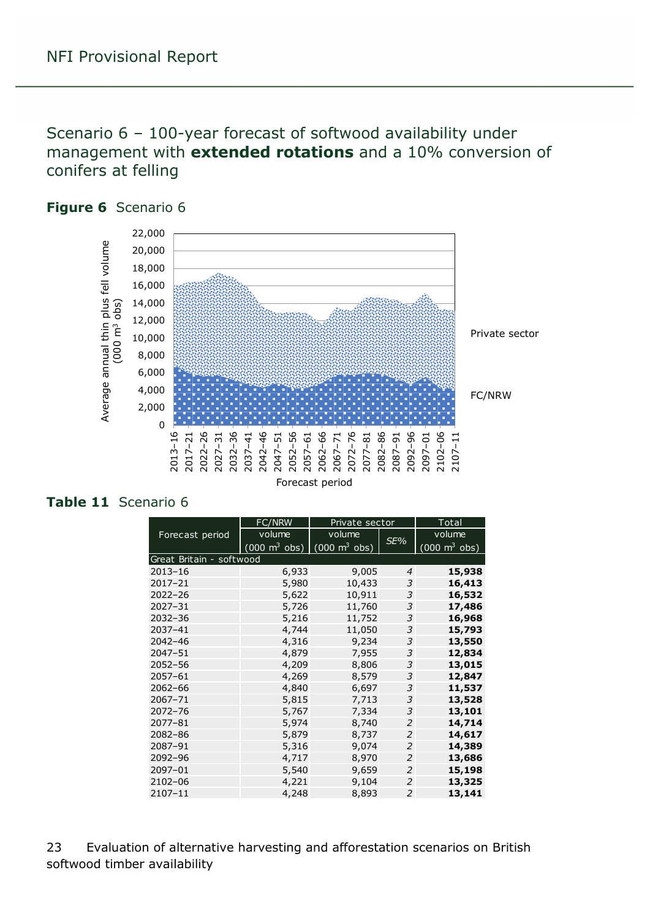### <span id="page-22-0"></span>Scenario 6 – 100-year forecast of softwood availability under management with **extended rotations** and a 10% conversion of conifers at felling



#### <span id="page-22-1"></span>**Figure 6** Scenario 6

#### <span id="page-22-2"></span>**Table 11** Scenario 6

|                          | FC/NRW                              | Private sector                  |                | Total                           |
|--------------------------|-------------------------------------|---------------------------------|----------------|---------------------------------|
| Forecast period          | volume                              | volume                          |                | volume                          |
|                          | $(000 \; \text{m}^3 \; \text{obs})$ | $(000 \text{ m}^3 \text{ obs})$ | SE%            | $(000 \text{ m}^3 \text{ obs})$ |
| Great Britain - softwood |                                     |                                 |                |                                 |
| $2013 - 16$              | 6,933                               | 9,005                           | $\overline{4}$ | 15,938                          |
| $2017 - 21$              | 5,980                               | 10,433                          | 3              | 16,413                          |
| $2022 - 26$              | 5,622                               | 10,911                          | 3              | 16,532                          |
| $2027 - 31$              | 5,726                               | 11,760                          | 3              | 17,486                          |
| $2032 - 36$              | 5,216                               | 11,752                          | 3              | 16,968                          |
| 2037-41                  | 4,744                               | 11,050                          | 3              | 15,793                          |
| $2042 - 46$              | 4,316                               | 9,234                           | 3              | 13,550                          |
| 2047-51                  | 4,879                               | 7,955                           | 3              | 12,834                          |
| $2052 - 56$              | 4,209                               | 8,806                           | 3              | 13,015                          |
| $2057 - 61$              | 4,269                               | 8,579                           | 3              | 12,847                          |
| $2062 - 66$              | 4,840                               | 6,697                           | 3              | 11,537                          |
| 2067-71                  | 5,815                               | 7,713                           | 3              | 13,528                          |
| $2072 - 76$              | 5,767                               | 7,334                           | 3              | 13,101                          |
| $2077 - 81$              | 5,974                               | 8,740                           | $\overline{2}$ | 14,714                          |
| 2082-86                  | 5,879                               | 8,737                           | $\overline{2}$ | 14,617                          |
| 2087-91                  | 5,316                               | 9,074                           | $\overline{2}$ | 14,389                          |
| 2092-96                  | 4,717                               | 8,970                           | $\overline{2}$ | 13,686                          |
| 2097-01                  | 5,540                               | 9,659                           | $\overline{2}$ | 15,198                          |
| 2102-06                  | 4,221                               | 9,104                           | 2              | 13,325                          |
| 2107-11                  | 4,248                               | 8,893                           | $\overline{2}$ | 13,141                          |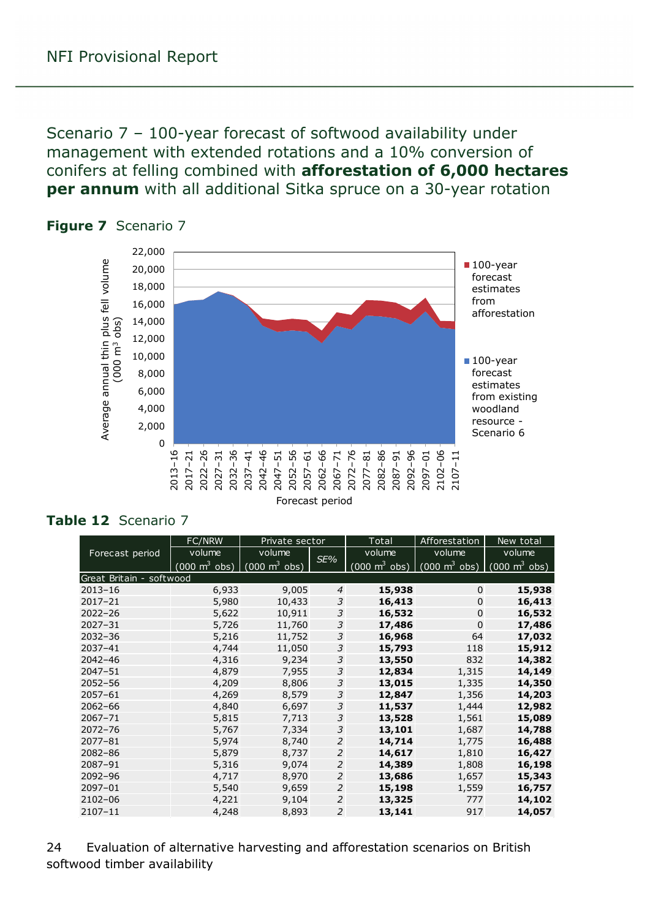<span id="page-23-0"></span>Scenario 7 – 100-year forecast of softwood availability under management with extended rotations and a 10% conversion of conifers at felling combined with **afforestation of 6,000 hectares per annum** with all additional Sitka spruce on a 30-year rotation



#### <span id="page-23-1"></span>**Figure 7** Scenario 7

#### <span id="page-23-2"></span>**Table 12** Scenario 7

|                          | FC/NRW                          | Private sector                  |                | Total                               | Afforestation                       | New total                       |
|--------------------------|---------------------------------|---------------------------------|----------------|-------------------------------------|-------------------------------------|---------------------------------|
| Forecast period          | volume                          | volume                          |                | volume                              | volume                              | volume                          |
|                          | $(000 \text{ m}^3 \text{ obs})$ | $(000 \text{ m}^3 \text{ obs})$ | SE%            | $(000 \; \text{m}^3 \; \text{obs})$ | $(000 \; \text{m}^3 \; \text{obs})$ | $(000 \text{ m}^3 \text{ obs})$ |
| Great Britain - softwood |                                 |                                 |                |                                     |                                     |                                 |
| $2013 - 16$              | 6,933                           | 9,005                           | $\overline{4}$ | 15,938                              | $\Omega$                            | 15,938                          |
| $2017 - 21$              | 5,980                           | 10,433                          | 3              | 16,413                              | $\mathbf 0$                         | 16,413                          |
| $2022 - 26$              | 5,622                           | 10,911                          | 3              | 16,532                              | $\Omega$                            | 16,532                          |
| $2027 - 31$              | 5,726                           | 11,760                          | 3              | 17,486                              | $\mathbf 0$                         | 17,486                          |
| $2032 - 36$              | 5,216                           | 11,752                          | 3              | 16,968                              | 64                                  | 17,032                          |
| $2037 - 41$              | 4,744                           | 11,050                          | 3              | 15,793                              | 118                                 | 15,912                          |
| $2042 - 46$              | 4,316                           | 9,234                           | 3              | 13,550                              | 832                                 | 14,382                          |
| $2047 - 51$              | 4,879                           | 7,955                           | 3              | 12,834                              | 1,315                               | 14,149                          |
| $2052 - 56$              | 4,209                           | 8,806                           | 3              | 13,015                              | 1,335                               | 14,350                          |
| $2057 - 61$              | 4,269                           | 8,579                           | 3              | 12,847                              | 1,356                               | 14,203                          |
| $2062 - 66$              | 4,840                           | 6,697                           | 3              | 11,537                              | 1,444                               | 12,982                          |
| 2067-71                  | 5,815                           | 7,713                           | 3              | 13,528                              | 1,561                               | 15,089                          |
| $2072 - 76$              | 5,767                           | 7,334                           | 3              | 13,101                              | 1,687                               | 14,788                          |
| $2077 - 81$              | 5,974                           | 8,740                           | 2              | 14,714                              | 1,775                               | 16,488                          |
| $2082 - 86$              | 5,879                           | 8,737                           | $\overline{2}$ | 14,617                              | 1,810                               | 16,427                          |
| 2087-91                  | 5,316                           | 9,074                           | $\overline{2}$ | 14,389                              | 1,808                               | 16,198                          |
| 2092-96                  | 4,717                           | 8,970                           | $\overline{2}$ | 13,686                              | 1,657                               | 15,343                          |
| 2097-01                  | 5,540                           | 9,659                           | $\overline{2}$ | 15,198                              | 1,559                               | 16,757                          |
| $2102 - 06$              | 4,221                           | 9,104                           | 2              | 13,325                              | 777                                 | 14,102                          |
| $2107 - 11$              | 4,248                           | 8,893                           | $\overline{2}$ | 13,141                              | 917                                 | 14,057                          |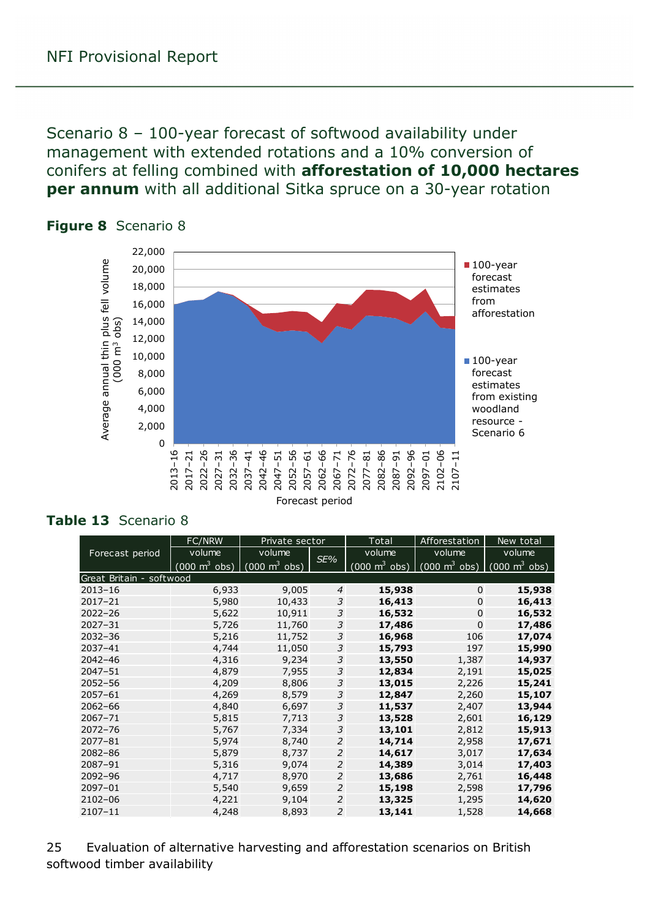<span id="page-24-0"></span>Scenario 8 – 100-year forecast of softwood availability under management with extended rotations and a 10% conversion of conifers at felling combined with **afforestation of 10,000 hectares per annum** with all additional Sitka spruce on a 30-year rotation



#### <span id="page-24-1"></span>**Figure 8** Scenario 8

#### <span id="page-24-2"></span>**Table 13** Scenario 8

|                          | FC/NRW                          | Private sector                  |                | Total                               | Afforestation                   | New total                       |
|--------------------------|---------------------------------|---------------------------------|----------------|-------------------------------------|---------------------------------|---------------------------------|
| Forecast period          | volume                          | volume                          | SE%            | volume                              | volume                          | volume                          |
|                          | $(000 \text{ m}^3 \text{ obs})$ | $\int$ (000 m <sup>3</sup> obs) |                | $(000 \; \text{m}^3 \; \text{obs})$ | $(000 \text{ m}^3 \text{ obs})$ | $(000 \text{ m}^3 \text{ obs})$ |
| Great Britain - softwood |                                 |                                 |                |                                     |                                 |                                 |
| $2013 - 16$              | 6,933                           | 9,005                           | $\overline{4}$ | 15,938                              | $\Omega$                        | 15,938                          |
| $2017 - 21$              | 5,980                           | 10,433                          | 3              | 16,413                              | $\Omega$                        | 16,413                          |
| $2022 - 26$              | 5,622                           | 10,911                          | 3              | 16,532                              | $\Omega$                        | 16,532                          |
| $2027 - 31$              | 5,726                           | 11,760                          | 3              | 17,486                              | $\mathbf 0$                     | 17,486                          |
| $2032 - 36$              | 5,216                           | 11,752                          | 3              | 16,968                              | 106                             | 17,074                          |
| 2037-41                  | 4,744                           | 11,050                          | 3              | 15,793                              | 197                             | 15,990                          |
| $2042 - 46$              | 4,316                           | 9,234                           | 3              | 13,550                              | 1,387                           | 14,937                          |
| $2047 - 51$              | 4,879                           | 7,955                           | 3              | 12,834                              | 2,191                           | 15,025                          |
| $2052 - 56$              | 4,209                           | 8,806                           | 3              | 13,015                              | 2,226                           | 15,241                          |
| $2057 - 61$              | 4,269                           | 8,579                           | 3              | 12,847                              | 2,260                           | 15,107                          |
| $2062 - 66$              | 4,840                           | 6,697                           | 3              | 11,537                              | 2,407                           | 13,944                          |
| $2067 - 71$              | 5,815                           | 7,713                           | 3              | 13,528                              | 2,601                           | 16,129                          |
| $2072 - 76$              | 5,767                           | 7,334                           | 3              | 13,101                              | 2,812                           | 15,913                          |
| $2077 - 81$              | 5,974                           | 8,740                           | 2              | 14,714                              | 2,958                           | 17,671                          |
| $2082 - 86$              | 5,879                           | 8,737                           | 2              | 14,617                              | 3,017                           | 17,634                          |
| 2087-91                  | 5,316                           | 9,074                           | 2              | 14,389                              | 3,014                           | 17,403                          |
| 2092-96                  | 4,717                           | 8,970                           | 2              | 13,686                              | 2,761                           | 16,448                          |
| 2097-01                  | 5,540                           | 9,659                           | $\mathcal{P}$  | 15,198                              | 2,598                           | 17,796                          |
| 2102-06                  | 4,221                           | 9,104                           | 2              | 13,325                              | 1,295                           | 14,620                          |
| 2107-11                  | 4,248                           | 8,893                           | $\overline{2}$ | 13,141                              | 1,528                           | 14,668                          |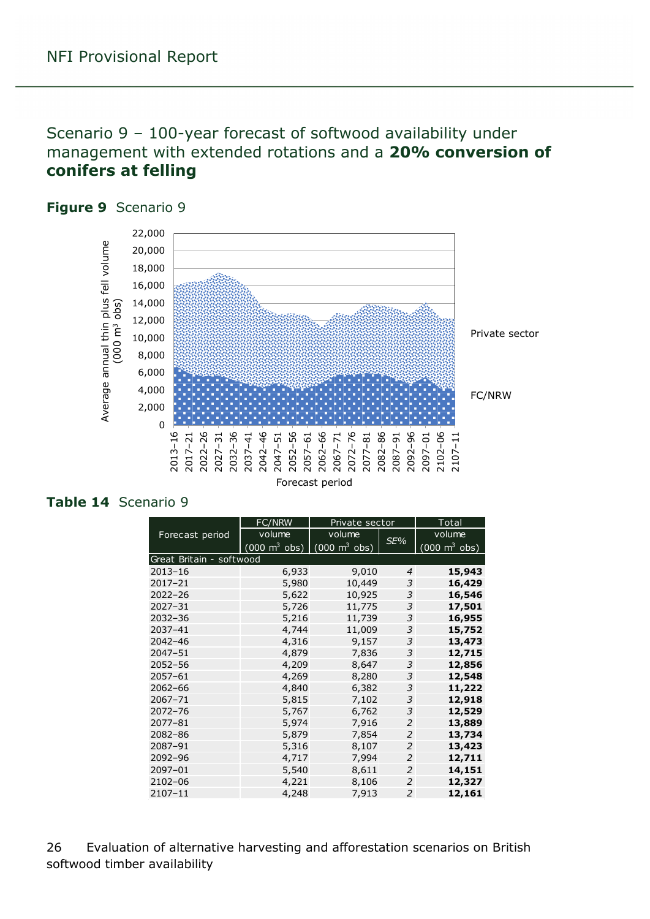### <span id="page-25-0"></span>Scenario 9 – 100-year forecast of softwood availability under management with extended rotations and a **20% conversion of conifers at felling**



#### <span id="page-25-1"></span>**Figure 9** Scenario 9

#### <span id="page-25-2"></span>**Table 14** Scenario 9

|                          | FC/NRW                          | Private sector                             |                | Total                               |
|--------------------------|---------------------------------|--------------------------------------------|----------------|-------------------------------------|
| Forecast period          | volume                          | volume                                     | SE%            | volume                              |
|                          | $(000 \text{ m}^3 \text{ obs})$ | $\overline{(000 \text{ m}^3 \text{ obs})}$ |                | $(000 \; \text{m}^3 \; \text{obs})$ |
| Great Britain - softwood |                                 |                                            |                |                                     |
| $2013 - 16$              | 6,933                           | 9,010                                      | 4              | 15,943                              |
| $2017 - 21$              | 5,980                           | 10,449                                     | 3              | 16,429                              |
| $2022 - 26$              | 5,622                           | 10,925                                     | 3              | 16,546                              |
| $2027 - 31$              | 5,726                           | 11,775                                     | 3              | 17,501                              |
| $2032 - 36$              | 5,216                           | 11,739                                     | 3              | 16,955                              |
| 2037-41                  | 4,744                           | 11,009                                     | 3              | 15,752                              |
| 2042-46                  | 4,316                           | 9,157                                      | 3              | 13,473                              |
| $2047 - 51$              | 4,879                           | 7,836                                      | 3              | 12,715                              |
| 2052-56                  | 4,209                           | 8,647                                      | 3              | 12,856                              |
| 2057-61                  | 4,269                           | 8,280                                      | 3              | 12,548                              |
| $2062 - 66$              | 4,840                           | 6,382                                      | 3              | 11,222                              |
| $2067 - 71$              | 5,815                           | 7,102                                      | 3              | 12,918                              |
| $2072 - 76$              | 5,767                           | 6,762                                      | 3              | 12,529                              |
| 2077-81                  | 5,974                           | 7,916                                      | $\overline{2}$ | 13,889                              |
| 2082-86                  | 5,879                           | 7,854                                      | $\overline{2}$ | 13,734                              |
| 2087-91                  | 5,316                           | 8,107                                      | $\overline{2}$ | 13,423                              |
| 2092-96                  | 4,717                           | 7,994                                      | 2              | 12,711                              |
| 2097-01                  | 5,540                           | 8,611                                      | 2              | 14,151                              |
| 2102-06                  | 4,221                           | 8,106                                      | 2              | 12,327                              |
| 2107-11                  | 4,248                           | 7,913                                      | $\overline{2}$ | 12,161                              |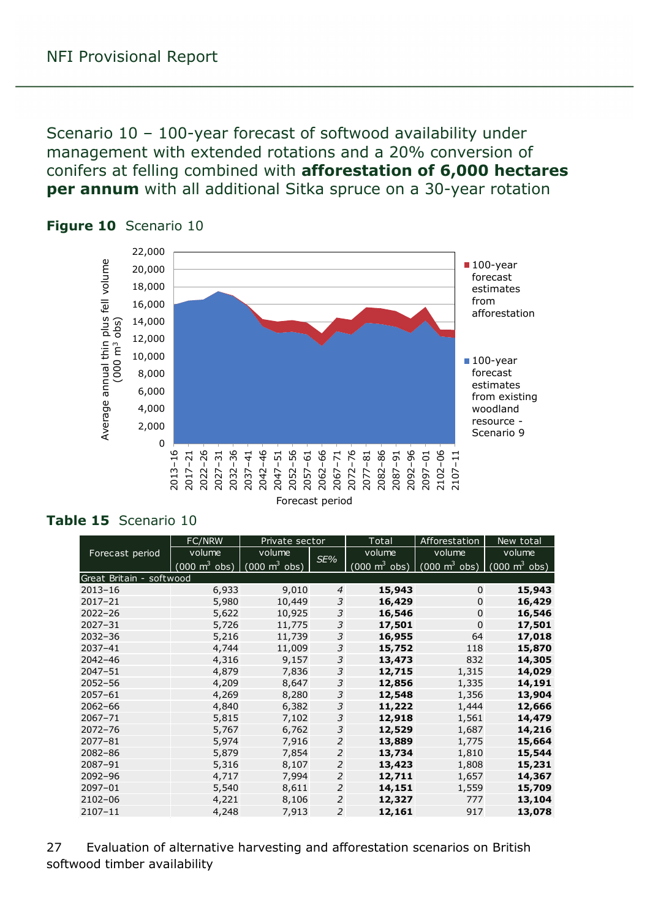<span id="page-26-0"></span>Scenario 10 – 100-year forecast of softwood availability under management with extended rotations and a 20% conversion of conifers at felling combined with **afforestation of 6,000 hectares per annum** with all additional Sitka spruce on a 30-year rotation



#### <span id="page-26-1"></span>**Figure 10** Scenario 10

#### <span id="page-26-2"></span>**Table 15** Scenario 10

|                          | <b>FC/NRW</b>                   | Private sector                  | Total          |                                 | Afforestation                   | New total                       |
|--------------------------|---------------------------------|---------------------------------|----------------|---------------------------------|---------------------------------|---------------------------------|
| Forecast period          | volume                          | volume                          |                | volume                          | volume                          | volume                          |
|                          | $(000 \text{ m}^3 \text{ obs})$ | $(000 \text{ m}^3 \text{ obs})$ | SE%            | $(000 \text{ m}^3 \text{ obs})$ | $(000 \text{ m}^3 \text{ obs})$ | $(000 \text{ m}^3 \text{ obs})$ |
| Great Britain - softwood |                                 |                                 |                |                                 |                                 |                                 |
| $2013 - 16$              | 6,933                           | 9,010                           | $\overline{4}$ | 15,943                          | $\Omega$                        | 15,943                          |
| 2017-21                  | 5,980                           | 10,449                          | 3              | 16,429                          | $\mathbf 0$                     | 16,429                          |
| $2022 - 26$              | 5,622                           | 10,925                          | 3              | 16,546                          | $\mathbf 0$                     | 16,546                          |
| $2027 - 31$              | 5,726                           | 11,775                          | 3              | 17,501                          | $\mathbf 0$                     | 17,501                          |
| $2032 - 36$              | 5,216                           | 11,739                          | 3              | 16,955                          | 64                              | 17,018                          |
| $2037 - 41$              | 4,744                           | 11,009                          | 3              | 15,752                          | 118                             | 15,870                          |
| $2042 - 46$              | 4,316                           | 9,157                           | 3              | 13,473                          | 832                             | 14,305                          |
| $2047 - 51$              | 4,879                           | 7,836                           | 3              | 12,715                          | 1,315                           | 14,029                          |
| $2052 - 56$              | 4,209                           | 8,647                           | 3              | 12,856                          | 1,335                           | 14,191                          |
| $2057 - 61$              | 4,269                           | 8,280                           | 3              | 12,548                          | 1,356                           | 13,904                          |
| $2062 - 66$              | 4,840                           | 6,382                           | 3              | 11,222                          | 1,444                           | 12,666                          |
| 2067-71                  | 5,815                           | 7,102                           | 3              | 12,918                          | 1,561                           | 14,479                          |
| $2072 - 76$              | 5,767                           | 6,762                           | 3              | 12,529                          | 1,687                           | 14,216                          |
| $2077 - 81$              | 5,974                           | 7,916                           | 2              | 13,889                          | 1,775                           | 15,664                          |
| $2082 - 86$              | 5,879                           | 7,854                           | 2              | 13,734                          | 1,810                           | 15,544                          |
| 2087-91                  | 5,316                           | 8,107                           | 2              | 13,423                          | 1,808                           | 15,231                          |
| 2092-96                  | 4,717                           | 7,994                           | 2              | 12,711                          | 1,657                           | 14,367                          |
| 2097-01                  | 5,540                           | 8,611                           | 2              | 14,151                          | 1,559                           | 15,709                          |
| $2102 - 06$              | 4,221                           | 8,106                           | 2              | 12,327                          | 777                             | 13,104                          |
| 2107-11                  | 4,248                           | 7,913                           | $\overline{2}$ | 12,161                          | 917                             | 13,078                          |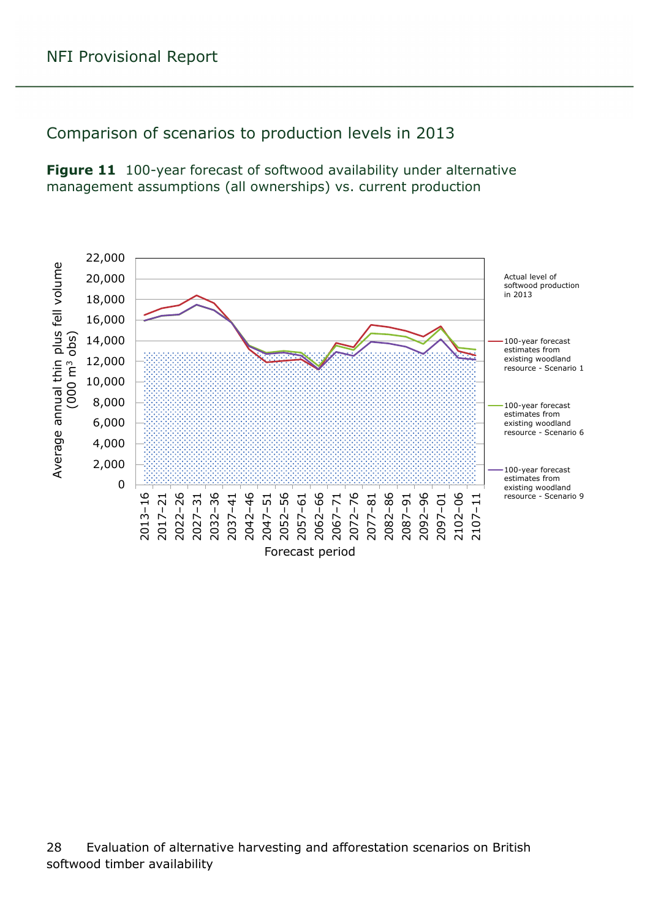### <span id="page-27-0"></span>Comparison of scenarios to production levels in 2013

<span id="page-27-1"></span>**Figure 11** 100-year forecast of softwood availability under alternative management assumptions (all ownerships) vs. current production

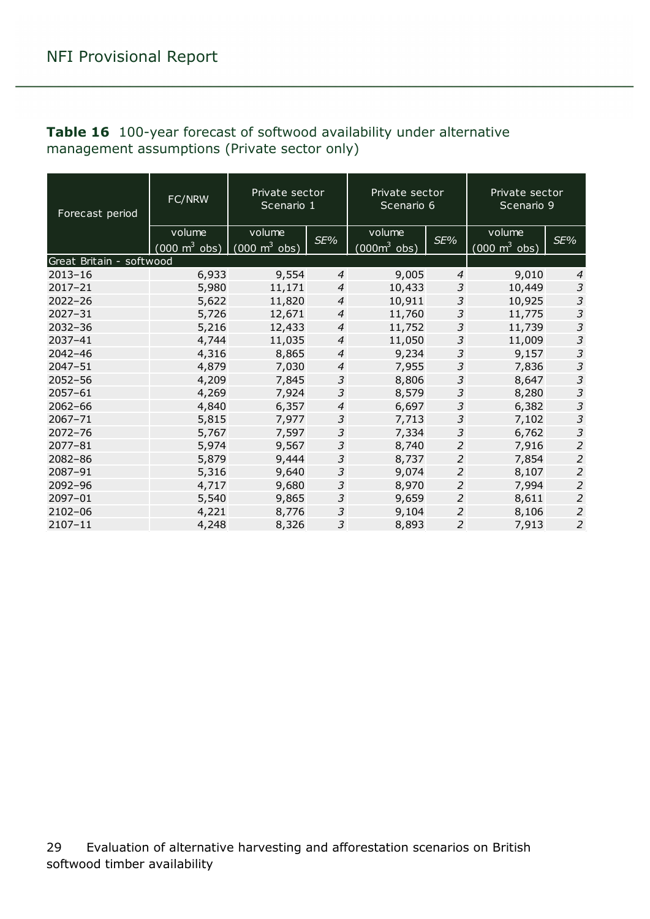| Forecast period          | FC/NRW                          | Private sector<br>Private sector<br>Scenario 1<br>Scenario 6 |                  |                        |                | Private sector<br>Scenario 9    |                |
|--------------------------|---------------------------------|--------------------------------------------------------------|------------------|------------------------|----------------|---------------------------------|----------------|
|                          | volume                          | volume                                                       | SE%              | volume                 | SE%            | volume                          | SE%            |
|                          | $(000 \text{ m}^3 \text{ obs})$ | $(000 \text{ m}^3 \text{ obs})$                              |                  | $(000m^3 \text{ obs})$ |                | $(000 \text{ m}^3 \text{ obs})$ |                |
| Great Britain - softwood |                                 |                                                              |                  |                        |                |                                 |                |
| $2013 - 16$              | 6,933                           | 9,554                                                        | $\overline{4}$   | 9,005                  | $\overline{4}$ | 9,010                           | $\overline{4}$ |
| $2017 - 21$              | 5,980                           | 11,171                                                       | $\boldsymbol{4}$ | 10,433                 | 3              | 10,449                          | $\mathfrak{Z}$ |
| $2022 - 26$              | 5,622                           | 11,820                                                       | $\overline{4}$   | 10,911                 | 3              | 10,925                          | 3              |
| $2027 - 31$              | 5,726                           | 12,671                                                       | 4                | 11,760                 | 3              | 11,775                          | $\mathfrak{Z}$ |
| $2032 - 36$              | 5,216                           | 12,433                                                       | $\overline{4}$   | 11,752                 | 3              | 11,739                          | $\overline{3}$ |
| 2037-41                  | 4,744                           | 11,035                                                       | $\overline{4}$   | 11,050                 | 3              | 11,009                          | $\mathfrak{Z}$ |
| $2042 - 46$              | 4,316                           | 8,865                                                        | $\overline{4}$   | 9,234                  | 3              | 9,157                           | $\mathfrak z$  |
| $2047 - 51$              | 4,879                           | 7,030                                                        | $\boldsymbol{4}$ | 7,955                  | 3              | 7,836                           | $\mathfrak{Z}$ |
| $2052 - 56$              | 4,209                           | 7,845                                                        | 3                | 8,806                  | 3              | 8,647                           | $\overline{3}$ |
| $2057 - 61$              | 4,269                           | 7,924                                                        | 3                | 8,579                  | 3              | 8,280                           | $\mathfrak z$  |
| $2062 - 66$              | 4,840                           | 6,357                                                        | 4                | 6,697                  | 3              | 6,382                           | $\mathfrak{Z}$ |
| $2067 - 71$              | 5,815                           | 7,977                                                        | 3                | 7,713                  | 3              | 7,102                           | $\mathfrak{Z}$ |
| $2072 - 76$              | 5,767                           | 7,597                                                        | 3                | 7,334                  | 3              | 6,762                           | $\mathfrak{Z}$ |
| $2077 - 81$              | 5,974                           | 9,567                                                        | 3                | 8,740                  | $\overline{2}$ | 7,916                           | $\overline{2}$ |
| 2082-86                  | 5,879                           | 9,444                                                        | 3                | 8,737                  | $\overline{2}$ | 7,854                           | $\overline{2}$ |
| 2087-91                  | 5,316                           | 9,640                                                        | 3                | 9,074                  | $\overline{2}$ | 8,107                           | $\overline{2}$ |
| 2092-96                  | 4,717                           | 9,680                                                        | 3                | 8,970                  | $\overline{2}$ | 7,994                           | $\overline{a}$ |
| 2097-01                  | 5,540                           | 9,865                                                        | 3                | 9,659                  | 2              | 8,611                           | $\overline{2}$ |
| 2102-06                  | 4,221                           | 8,776                                                        | 3                | 9,104                  | 2              | 8,106                           | $\overline{a}$ |
| $2107 - 11$              | 4,248                           | 8,326                                                        | 3                | 8,893                  | $\overline{2}$ | 7,913                           | $\overline{c}$ |

#### <span id="page-28-0"></span>**Table 16** 100-year forecast of softwood availability under alternative management assumptions (Private sector only)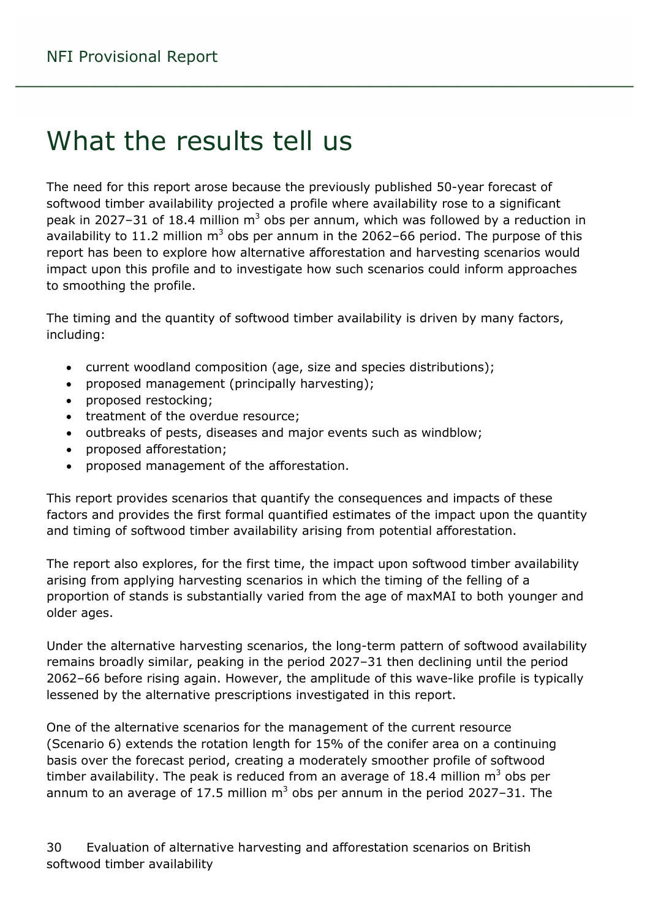# <span id="page-29-0"></span>What the results tell us

The need for this report arose because the previously published 50-year forecast of softwood timber availability projected a profile where availability rose to a significant peak in 2027–31 of 18.4 million  $m<sup>3</sup>$  obs per annum, which was followed by a reduction in availability to 11.2 million  $m<sup>3</sup>$  obs per annum in the 2062–66 period. The purpose of this report has been to explore how alternative afforestation and harvesting scenarios would impact upon this profile and to investigate how such scenarios could inform approaches to smoothing the profile.

The timing and the quantity of softwood timber availability is driven by many factors, including:

- current woodland composition (age, size and species distributions);
- proposed management (principally harvesting);
- proposed restocking;
- treatment of the overdue resource;
- outbreaks of pests, diseases and major events such as windblow;
- proposed afforestation;
- proposed management of the afforestation.

This report provides scenarios that quantify the consequences and impacts of these factors and provides the first formal quantified estimates of the impact upon the quantity and timing of softwood timber availability arising from potential afforestation.

The report also explores, for the first time, the impact upon softwood timber availability arising from applying harvesting scenarios in which the timing of the felling of a proportion of stands is substantially varied from the age of maxMAI to both younger and older ages.

Under the alternative harvesting scenarios, the long-term pattern of softwood availability remains broadly similar, peaking in the period 2027–31 then declining until the period 2062–66 before rising again. However, the amplitude of this wave-like profile is typically lessened by the alternative prescriptions investigated in this report.

One of the alternative scenarios for the management of the current resource (Scenario 6) extends the rotation length for 15% of the conifer area on a continuing basis over the forecast period, creating a moderately smoother profile of softwood timber availability. The peak is reduced from an average of 18.4 million  $m<sup>3</sup>$  obs per annum to an average of 17.5 million  $m<sup>3</sup>$  obs per annum in the period 2027–31. The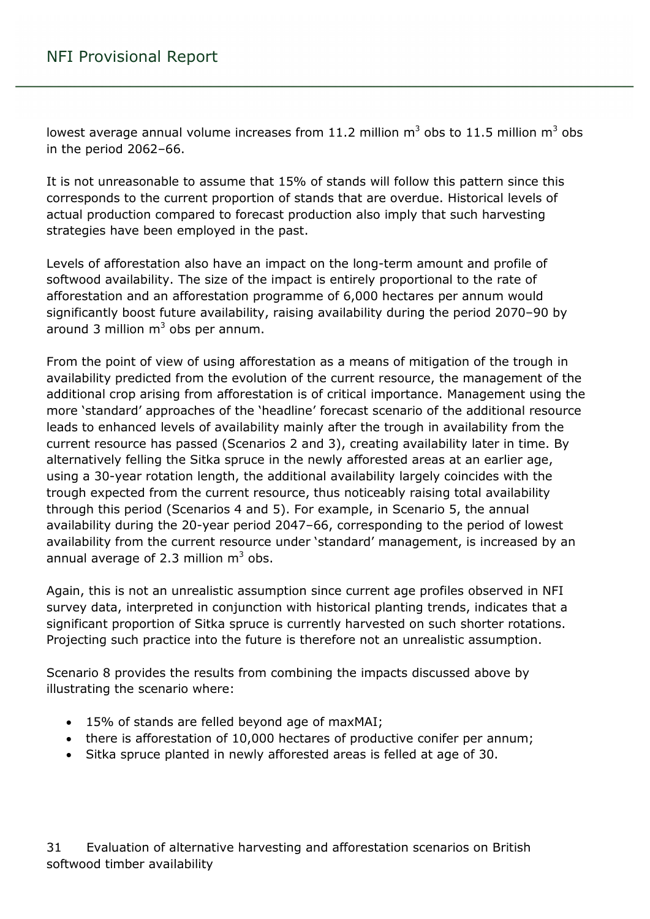lowest average annual volume increases from 11.2 million  $m^3$  obs to 11.5 million  $m^3$  obs in the period 2062–66.

It is not unreasonable to assume that 15% of stands will follow this pattern since this corresponds to the current proportion of stands that are overdue. Historical levels of actual production compared to forecast production also imply that such harvesting strategies have been employed in the past.

Levels of afforestation also have an impact on the long-term amount and profile of softwood availability. The size of the impact is entirely proportional to the rate of afforestation and an afforestation programme of 6,000 hectares per annum would significantly boost future availability, raising availability during the period 2070–90 by around 3 million  $m<sup>3</sup>$  obs per annum.

From the point of view of using afforestation as a means of mitigation of the trough in availability predicted from the evolution of the current resource, the management of the additional crop arising from afforestation is of critical importance. Management using the more 'standard' approaches of the 'headline' forecast scenario of the additional resource leads to enhanced levels of availability mainly after the trough in availability from the current resource has passed (Scenarios 2 and 3), creating availability later in time. By alternatively felling the Sitka spruce in the newly afforested areas at an earlier age, using a 30-year rotation length, the additional availability largely coincides with the trough expected from the current resource, thus noticeably raising total availability through this period (Scenarios 4 and 5). For example, in Scenario 5, the annual availability during the 20-year period 2047–66, corresponding to the period of lowest availability from the current resource under 'standard' management, is increased by an annual average of 2.3 million  $m^3$  obs.

Again, this is not an unrealistic assumption since current age profiles observed in NFI survey data, interpreted in conjunction with historical planting trends, indicates that a significant proportion of Sitka spruce is currently harvested on such shorter rotations. Projecting such practice into the future is therefore not an unrealistic assumption.

Scenario 8 provides the results from combining the impacts discussed above by illustrating the scenario where:

- 15% of stands are felled beyond age of maxMAI;
- there is afforestation of 10,000 hectares of productive conifer per annum;
- Sitka spruce planted in newly afforested areas is felled at age of 30.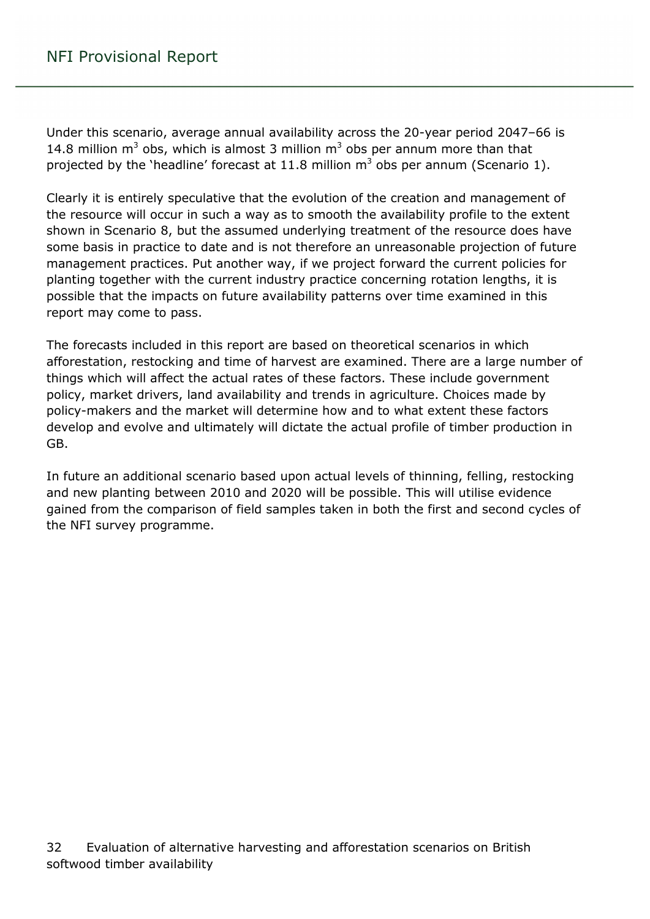Under this scenario, average annual availability across the 20-year period 2047–66 is 14.8 million  $m^3$  obs, which is almost 3 million  $m^3$  obs per annum more than that projected by the 'headline' forecast at 11.8 million  $m<sup>3</sup>$  obs per annum (Scenario 1).

Clearly it is entirely speculative that the evolution of the creation and management of the resource will occur in such a way as to smooth the availability profile to the extent shown in Scenario 8, but the assumed underlying treatment of the resource does have some basis in practice to date and is not therefore an unreasonable projection of future management practices. Put another way, if we project forward the current policies for planting together with the current industry practice concerning rotation lengths, it is possible that the impacts on future availability patterns over time examined in this report may come to pass.

The forecasts included in this report are based on theoretical scenarios in which afforestation, restocking and time of harvest are examined. There are a large number of things which will affect the actual rates of these factors. These include government policy, market drivers, land availability and trends in agriculture. Choices made by policy-makers and the market will determine how and to what extent these factors develop and evolve and ultimately will dictate the actual profile of timber production in GB.

In future an additional scenario based upon actual levels of thinning, felling, restocking and new planting between 2010 and 2020 will be possible. This will utilise evidence gained from the comparison of field samples taken in both the first and second cycles of the NFI survey programme.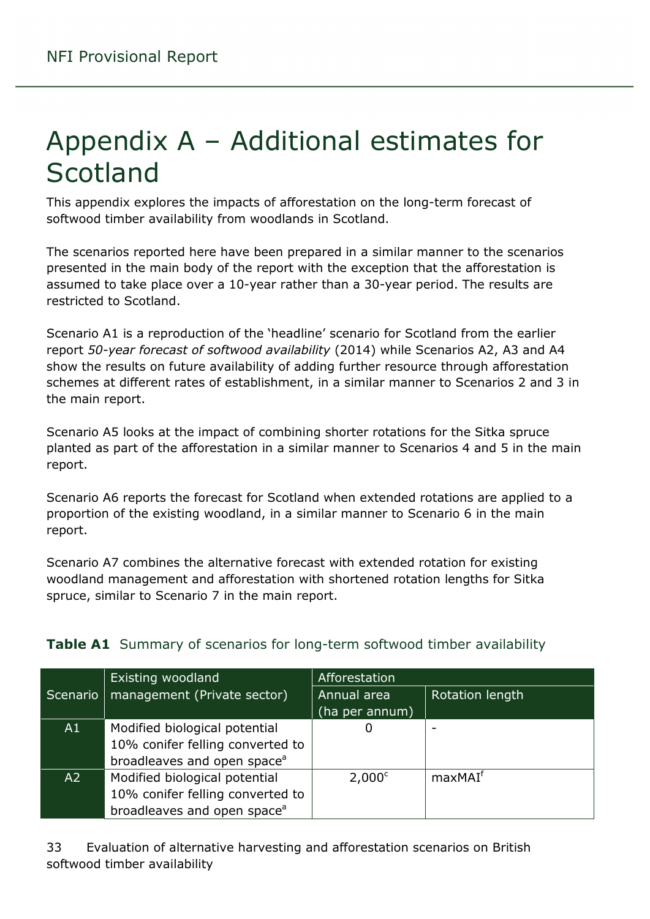# <span id="page-32-0"></span>Appendix A – Additional estimates for Scotland

This appendix explores the impacts of afforestation on the long-term forecast of softwood timber availability from woodlands in Scotland.

The scenarios reported here have been prepared in a similar manner to the scenarios presented in the main body of the report with the exception that the afforestation is assumed to take place over a 10-year rather than a 30-year period. The results are restricted to Scotland.

Scenario A1 is a reproduction of the 'headline' scenario for Scotland from the earlier report *50-year forecast of softwood availability* (2014) while Scenarios A2, A3 and A4 show the results on future availability of adding further resource through afforestation schemes at different rates of establishment, in a similar manner to Scenarios 2 and 3 in the main report.

Scenario A5 looks at the impact of combining shorter rotations for the Sitka spruce planted as part of the afforestation in a similar manner to Scenarios 4 and 5 in the main report.

Scenario A6 reports the forecast for Scotland when extended rotations are applied to a proportion of the existing woodland, in a similar manner to Scenario 6 in the main report.

Scenario A7 combines the alternative forecast with extended rotation for existing woodland management and afforestation with shortened rotation lengths for Sitka spruce, similar to Scenario 7 in the main report.

|                | Existing woodland                       | Afforestation   |                     |
|----------------|-----------------------------------------|-----------------|---------------------|
| Scenario       | management (Private sector)             | Annual area     | Rotation length     |
|                |                                         | (ha per annum)  |                     |
| A1             | Modified biological potential           | Ü               |                     |
|                | 10% conifer felling converted to        |                 |                     |
|                | broadleaves and open space <sup>a</sup> |                 |                     |
| A <sub>2</sub> | Modified biological potential           | $2,000^{\circ}$ | maxMAI <sup>f</sup> |
|                | 10% conifer felling converted to        |                 |                     |
|                | broadleaves and open space <sup>a</sup> |                 |                     |

#### <span id="page-32-1"></span>**Table A1** Summary of scenarios for long-term softwood timber availability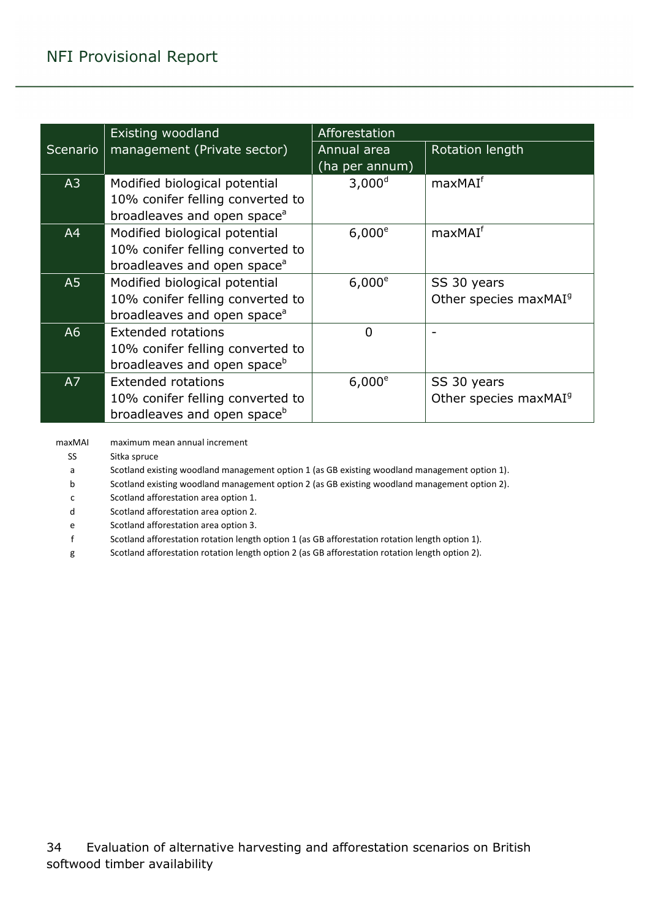|          | <b>Existing woodland</b>                | Afforestation      |                                   |  |  |  |
|----------|-----------------------------------------|--------------------|-----------------------------------|--|--|--|
| Scenario | management (Private sector)             | Annual area        | Rotation length                   |  |  |  |
|          |                                         | (ha per annum)     |                                   |  |  |  |
| A3       | Modified biological potential           | 3,000 <sup>d</sup> | maxMAI <sup>f</sup>               |  |  |  |
|          | 10% conifer felling converted to        |                    |                                   |  |  |  |
|          | broadleaves and open space <sup>a</sup> |                    |                                   |  |  |  |
| A4       | Modified biological potential           | $6,000^e$          | maxMAI <sup>f</sup>               |  |  |  |
|          | 10% conifer felling converted to        |                    |                                   |  |  |  |
|          | broadleaves and open space <sup>a</sup> |                    |                                   |  |  |  |
| A5       | Modified biological potential           | $6,000^e$          | SS 30 years                       |  |  |  |
|          | 10% conifer felling converted to        |                    | Other species maxMAI <sup>9</sup> |  |  |  |
|          | broadleaves and open space <sup>a</sup> |                    |                                   |  |  |  |
| A6       | <b>Extended rotations</b>               | $\overline{0}$     |                                   |  |  |  |
|          | 10% conifer felling converted to        |                    |                                   |  |  |  |
|          | broadleaves and open space <sup>b</sup> |                    |                                   |  |  |  |
| A7       | <b>Extended rotations</b>               | $6,000^e$          | SS 30 years                       |  |  |  |
|          | 10% conifer felling converted to        |                    | Other species maxMAI <sup>9</sup> |  |  |  |
|          | broadleaves and open space <sup>b</sup> |                    |                                   |  |  |  |

maxMAI maximum mean annual increment

SS Sitka spruce

a Scotland existing woodland management option 1 (as GB existing woodland management option 1).

b Scotland existing woodland management option 2 (as GB existing woodland management option 2).

c Scotland afforestation area option 1.

d Scotland afforestation area option 2.

e Scotland afforestation area option 3.

f Scotland afforestation rotation length option 1 (as GB afforestation rotation length option 1).

g Scotland afforestation rotation length option 2 (as GB afforestation rotation length option 2).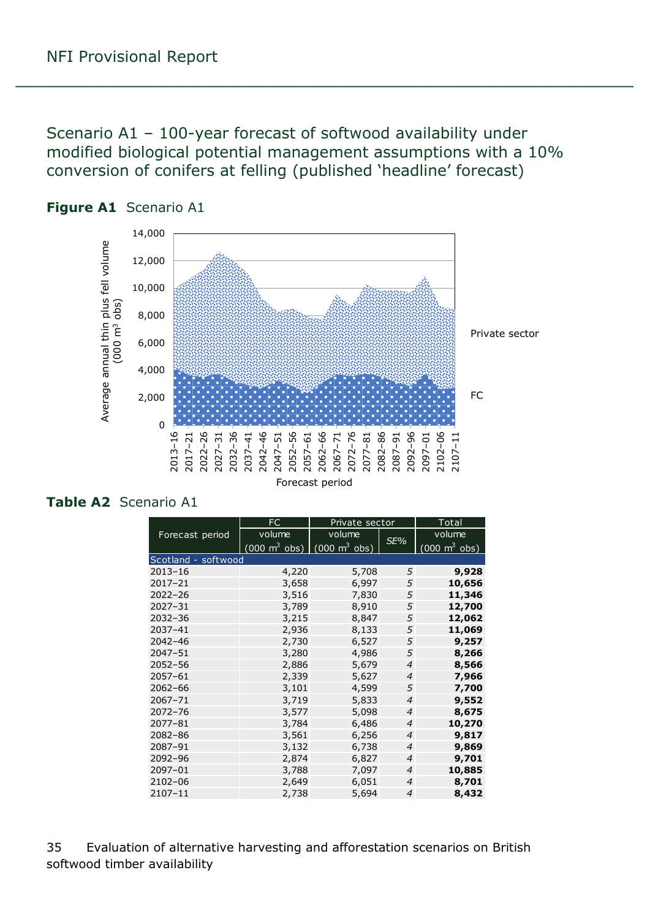<span id="page-34-0"></span>Scenario A1 – 100-year forecast of softwood availability under modified biological potential management assumptions with a 10% conversion of conifers at felling (published 'headline' forecast)



<span id="page-34-1"></span>

#### <span id="page-34-2"></span>**Table A2** Scenario A1

|                     | <b>FC</b>                       | Private sector                  | Total          |                                 |
|---------------------|---------------------------------|---------------------------------|----------------|---------------------------------|
| Forecast period     | volume                          | volume                          | SE%            | volume                          |
|                     | $(000 \text{ m}^3 \text{ obs})$ | $(000 \text{ m}^3 \text{ obs})$ |                | $(000 \text{ m}^3 \text{ obs})$ |
| Scotland - softwood |                                 |                                 |                |                                 |
| $2013 - 16$         | 4,220                           | 5,708                           | 5              | 9,928                           |
| $2017 - 21$         | 3,658                           | 6,997                           | 5              | 10,656                          |
| $2022 - 26$         | 3,516                           | 7,830                           | 5              | 11,346                          |
| $2027 - 31$         | 3,789                           | 8,910                           | 5              | 12,700                          |
| $2032 - 36$         | 3,215                           | 8,847                           | 5              | 12,062                          |
| 2037-41             | 2,936                           | 8,133                           | 5              | 11,069                          |
| $2042 - 46$         | 2,730                           | 6,527                           | 5              | 9,257                           |
| $2047 - 51$         | 3,280                           | 4,986                           | 5              | 8,266                           |
| $2052 - 56$         | 2,886                           | 5,679                           | $\overline{4}$ | 8,566                           |
| $2057 - 61$         | 2,339                           | 5,627                           | $\overline{4}$ | 7,966                           |
| $2062 - 66$         | 3,101                           | 4,599                           | 5              | 7,700                           |
| $2067 - 71$         | 3,719                           | 5,833                           | $\overline{4}$ | 9,552                           |
| $2072 - 76$         | 3,577                           | 5,098                           | $\overline{4}$ | 8,675                           |
| $2077 - 81$         | 3,784                           | 6,486                           | $\overline{4}$ | 10,270                          |
| $2082 - 86$         | 3,561                           | 6,256                           | $\overline{4}$ | 9,817                           |
| 2087-91             | 3,132                           | 6,738                           | $\overline{4}$ | 9,869                           |
| 2092-96             | 2,874                           | 6,827                           | $\overline{4}$ | 9,701                           |
| $2097 - 01$         | 3,788                           | 7,097                           | $\overline{4}$ | 10,885                          |
| $2102 - 06$         | 2,649                           | 6,051                           | $\overline{4}$ | 8,701                           |
| $2107 - 11$         | 2,738                           | 5,694                           | $\overline{4}$ | 8,432                           |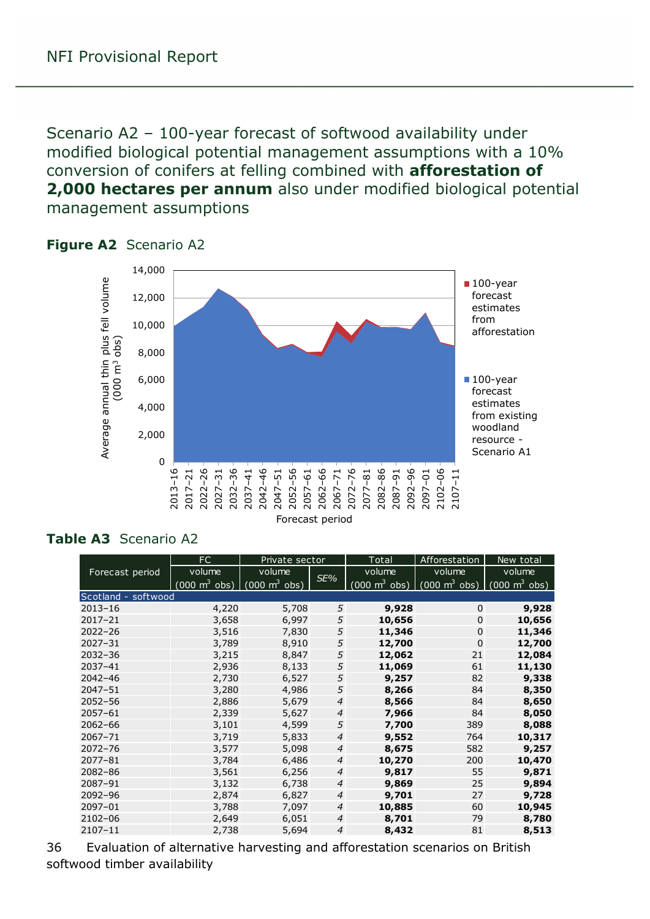<span id="page-35-0"></span>Scenario A2 – 100-year forecast of softwood availability under modified biological potential management assumptions with a 10% conversion of conifers at felling combined with **afforestation of 2,000 hectares per annum** also under modified biological potential management assumptions



#### <span id="page-35-1"></span>**Figure A2** Scenario A2

#### <span id="page-35-2"></span>**Table A3** Scenario A2

|                     | FC                              | Private sector                  |                | Total                           | Afforestation                                                   | New total |
|---------------------|---------------------------------|---------------------------------|----------------|---------------------------------|-----------------------------------------------------------------|-----------|
| Forecast period     | volume                          | volume                          | SE%            | volume                          | volume                                                          | volume    |
|                     | $(000 \text{ m}^3 \text{ obs})$ | $(000 \text{ m}^3 \text{ obs})$ |                | $(000 \text{ m}^3 \text{ obs})$ | $(000 \text{ m}^3 \text{ obs})$ $(000 \text{ m}^3 \text{ obs})$ |           |
| Scotland - softwood |                                 |                                 |                |                                 |                                                                 |           |
| $2013 - 16$         | 4,220                           | 5,708                           | 5              | 9,928                           | $\mathbf 0$                                                     | 9,928     |
| $2017 - 21$         | 3,658                           | 6,997                           | 5              | 10,656                          | $\mathbf 0$                                                     | 10,656    |
| $2022 - 26$         | 3,516                           | 7,830                           | 5              | 11,346                          | $\mathbf 0$                                                     | 11,346    |
| $2027 - 31$         | 3,789                           | 8,910                           | 5              | 12,700                          | $\mathbf 0$                                                     | 12,700    |
| $2032 - 36$         | 3,215                           | 8,847                           | 5              | 12,062                          | 21                                                              | 12,084    |
| $2037 - 41$         | 2,936                           | 8,133                           | 5              | 11,069                          | 61                                                              | 11,130    |
| $2042 - 46$         | 2,730                           | 6,527                           | 5              | 9,257                           | 82                                                              | 9,338     |
| $2047 - 51$         | 3,280                           | 4,986                           | 5              | 8,266                           | 84                                                              | 8,350     |
| $2052 - 56$         | 2,886                           | 5,679                           | $\overline{4}$ | 8,566                           | 84                                                              | 8,650     |
| $2057 - 61$         | 2,339                           | 5,627                           | $\overline{4}$ | 7,966                           | 84                                                              | 8,050     |
| $2062 - 66$         | 3,101                           | 4,599                           | 5              | 7,700                           | 389                                                             | 8,088     |
| $2067 - 71$         | 3,719                           | 5,833                           | $\overline{4}$ | 9,552                           | 764                                                             | 10,317    |
| $2072 - 76$         | 3,577                           | 5,098                           | $\overline{4}$ | 8,675                           | 582                                                             | 9,257     |
| $2077 - 81$         | 3,784                           | 6,486                           | $\overline{4}$ | 10,270                          | 200                                                             | 10,470    |
| $2082 - 86$         | 3,561                           | 6,256                           | $\overline{4}$ | 9,817                           | 55                                                              | 9,871     |
| 2087-91             | 3,132                           | 6,738                           | $\overline{4}$ | 9,869                           | 25                                                              | 9,894     |
| 2092-96             | 2,874                           | 6,827                           | $\overline{4}$ | 9,701                           | 27                                                              | 9,728     |
| 2097-01             | 3,788                           | 7,097                           | $\overline{4}$ | 10,885                          | 60                                                              | 10,945    |
| 2102-06             | 2,649                           | 6,051                           | $\overline{4}$ | 8,701                           | 79                                                              | 8,780     |
| $2107 - 11$         | 2,738                           | 5,694                           | 4              | 8,432                           | 81                                                              | 8,513     |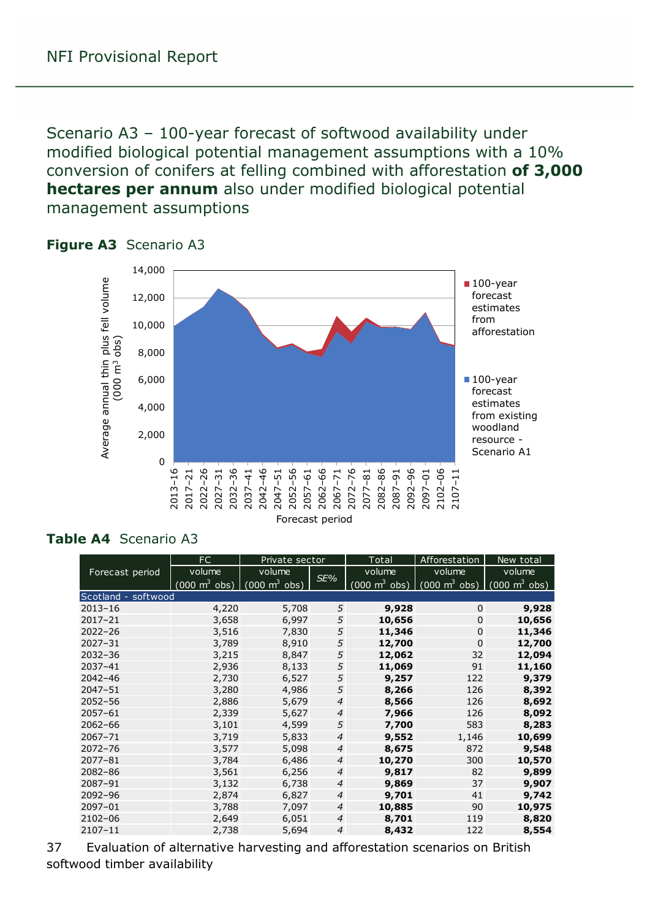<span id="page-36-0"></span>Scenario A3 – 100-year forecast of softwood availability under modified biological potential management assumptions with a 10% conversion of conifers at felling combined with afforestation **of 3,000 hectares per annum** also under modified biological potential management assumptions



#### <span id="page-36-1"></span>**Figure A3** Scenario A3

#### <span id="page-36-2"></span>**Table A4** Scenario A3

|                     | FC<br>Private sector            |                                 |                | Total                           | Afforestation                                                   | New total |
|---------------------|---------------------------------|---------------------------------|----------------|---------------------------------|-----------------------------------------------------------------|-----------|
| Forecast period     | volume                          | volume                          | SE%            | volume                          | volume                                                          | volume    |
|                     | $(000 \text{ m}^3 \text{ obs})$ | $(000 \text{ m}^3 \text{ obs})$ |                | $(000 \text{ m}^3 \text{ obs})$ | $(000 \text{ m}^3 \text{ obs})$ $(000 \text{ m}^3 \text{ obs})$ |           |
| Scotland - softwood |                                 |                                 |                |                                 |                                                                 |           |
| $2013 - 16$         | 4,220                           | 5,708                           | 5              | 9,928                           | $\mathbf 0$                                                     | 9,928     |
| $2017 - 21$         | 3,658                           | 6,997                           | 5              | 10,656                          | $\mathbf 0$                                                     | 10,656    |
| $2022 - 26$         | 3,516                           | 7,830                           | 5              | 11,346                          | $\mathbf 0$                                                     | 11,346    |
| $2027 - 31$         | 3,789                           | 8,910                           | 5              | 12,700                          | $\Omega$                                                        | 12,700    |
| $2032 - 36$         | 3,215                           | 8,847                           | 5              | 12,062                          | 32                                                              | 12,094    |
| $2037 - 41$         | 2,936                           | 8,133                           | 5              | 11,069                          | 91                                                              | 11,160    |
| $2042 - 46$         | 2,730                           | 6,527                           | 5              | 9,257                           | 122                                                             | 9,379     |
| $2047 - 51$         | 3,280                           | 4,986                           | 5              | 8,266                           | 126                                                             | 8,392     |
| $2052 - 56$         | 2,886                           | 5,679                           | $\overline{4}$ | 8,566                           | 126                                                             | 8,692     |
| $2057 - 61$         | 2,339                           | 5,627                           | $\overline{4}$ | 7,966                           | 126                                                             | 8,092     |
| $2062 - 66$         | 3,101                           | 4,599                           | 5              | 7,700                           | 583                                                             | 8,283     |
| $2067 - 71$         | 3,719                           | 5,833                           | $\overline{4}$ | 9,552                           | 1,146                                                           | 10,699    |
| $2072 - 76$         | 3,577                           | 5,098                           | $\overline{4}$ | 8,675                           | 872                                                             | 9,548     |
| $2077 - 81$         | 3,784                           | 6,486                           | $\overline{4}$ | 10,270                          | 300                                                             | 10,570    |
| $2082 - 86$         | 3,561                           | 6,256                           | $\overline{4}$ | 9,817                           | 82                                                              | 9,899     |
| 2087-91             | 3,132                           | 6,738                           | $\overline{4}$ | 9,869                           | 37                                                              | 9,907     |
| 2092-96             | 2,874                           | 6,827                           | $\overline{4}$ | 9,701                           | 41                                                              | 9,742     |
| $2097 - 01$         | 3,788                           | 7,097                           | $\overline{4}$ | 10,885                          | 90                                                              | 10,975    |
| 2102-06             | 2,649                           | 6,051                           | $\overline{4}$ | 8,701                           | 119                                                             | 8,820     |
| $2107 - 11$         | 2,738                           | 5,694                           | $\overline{4}$ | 8,432                           | 122                                                             | 8,554     |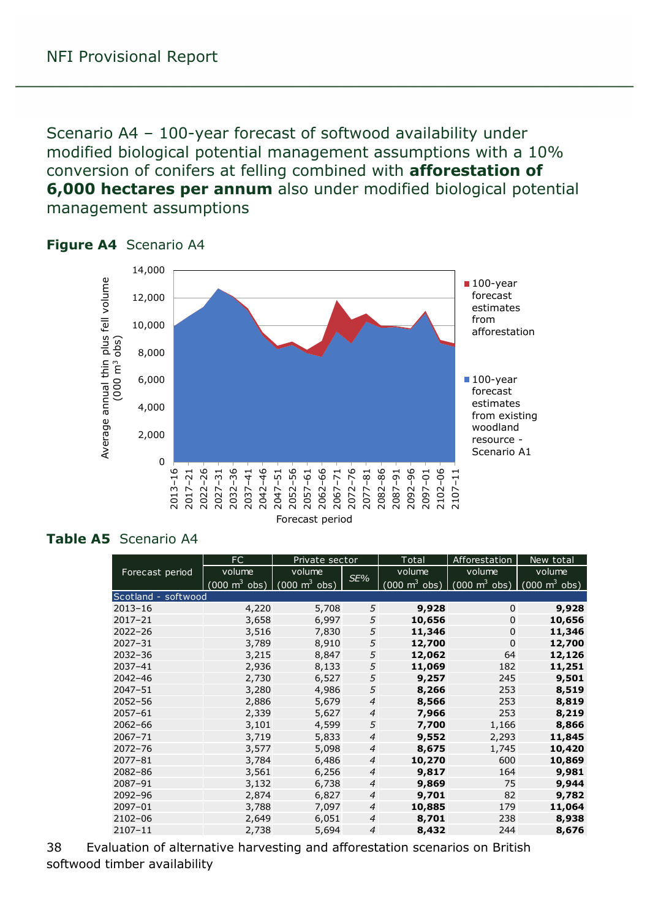<span id="page-37-0"></span>Scenario A4 – 100-year forecast of softwood availability under modified biological potential management assumptions with a 10% conversion of conifers at felling combined with **afforestation of 6,000 hectares per annum** also under modified biological potential management assumptions



#### <span id="page-37-1"></span>**Figure A4** Scenario A4

#### <span id="page-37-2"></span>**Table A5** Scenario A4

|                     | FC.<br>Private sector               |                                 | Total          |        | Afforestation                                                   | New total                       |
|---------------------|-------------------------------------|---------------------------------|----------------|--------|-----------------------------------------------------------------|---------------------------------|
| Forecast period     | volume                              | volume                          |                | volume | volume                                                          | volume                          |
|                     | $(000 \; \text{m}^3 \; \text{obs})$ | $(000 \text{ m}^3 \text{ obs})$ | SE%            |        | $(000 \text{ m}^3 \text{ obs})$ $(000 \text{ m}^3 \text{ obs})$ | $(000 \text{ m}^3 \text{ obs})$ |
| Scotland - softwood |                                     |                                 |                |        |                                                                 |                                 |
| $2013 - 16$         | 4,220                               | 5,708                           | 5              | 9,928  | $\Omega$                                                        | 9,928                           |
| $2017 - 21$         | 3,658                               | 6,997                           | 5              | 10,656 | $\mathbf 0$                                                     | 10,656                          |
| $2022 - 26$         | 3,516                               | 7,830                           | 5              | 11,346 | $\mathbf 0$                                                     | 11,346                          |
| $2027 - 31$         | 3,789                               | 8,910                           | 5              | 12,700 | $\mathbf 0$                                                     | 12,700                          |
| $2032 - 36$         | 3,215                               | 8,847                           | 5              | 12,062 | 64                                                              | 12,126                          |
| $2037 - 41$         | 2,936                               | 8,133                           | 5              | 11,069 | 182                                                             | 11,251                          |
| 2042-46             | 2,730                               | 6,527                           | 5              | 9,257  | 245                                                             | 9,501                           |
| $2047 - 51$         | 3,280                               | 4,986                           | 5              | 8,266  | 253                                                             | 8,519                           |
| $2052 - 56$         | 2,886                               | 5,679                           | $\overline{4}$ | 8,566  | 253                                                             | 8,819                           |
| 2057-61             | 2,339                               | 5,627                           | $\overline{4}$ | 7,966  | 253                                                             | 8,219                           |
| $2062 - 66$         | 3,101                               | 4,599                           | 5              | 7,700  | 1,166                                                           | 8,866                           |
| $2067 - 71$         | 3,719                               | 5,833                           | $\overline{4}$ | 9,552  | 2,293                                                           | 11,845                          |
| $2072 - 76$         | 3,577                               | 5,098                           | $\overline{4}$ | 8,675  | 1,745                                                           | 10,420                          |
| 2077-81             | 3,784                               | 6,486                           | $\overline{4}$ | 10,270 | 600                                                             | 10,869                          |
| 2082-86             | 3,561                               | 6,256                           | $\overline{4}$ | 9,817  | 164                                                             | 9,981                           |
| 2087-91             | 3,132                               | 6,738                           | $\overline{4}$ | 9,869  | 75                                                              | 9,944                           |
| 2092-96             | 2,874                               | 6,827                           | $\overline{4}$ | 9,701  | 82                                                              | 9,782                           |
| 2097-01             | 3,788                               | 7,097                           | $\overline{4}$ | 10,885 | 179                                                             | 11,064                          |
| 2102-06             | 2,649                               | 6,051                           | $\overline{4}$ | 8,701  | 238                                                             | 8,938                           |
| $2107 - 11$         | 2,738                               | 5,694                           | $\overline{4}$ | 8,432  | 244                                                             | 8,676                           |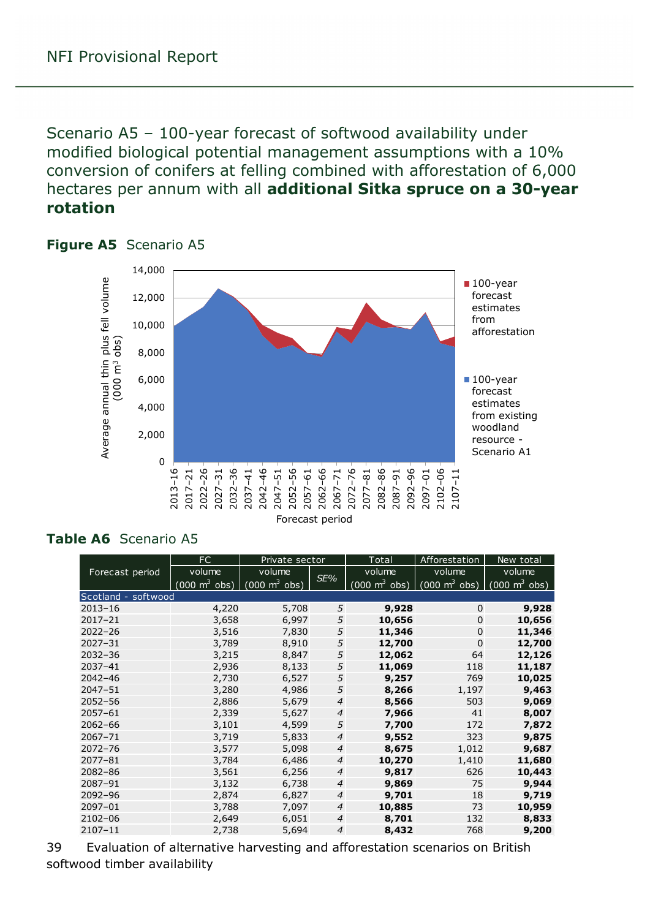<span id="page-38-0"></span>Scenario A5 – 100-year forecast of softwood availability under modified biological potential management assumptions with a 10% conversion of conifers at felling combined with afforestation of 6,000 hectares per annum with all **additional Sitka spruce on a 30-year rotation**



#### <span id="page-38-1"></span>**Figure A5** Scenario A5

#### <span id="page-38-2"></span>**Table A6** Scenario A5

|                     | FC<br>Private sector            |                                 |                | Total                           | Afforestation                                                   | New total |
|---------------------|---------------------------------|---------------------------------|----------------|---------------------------------|-----------------------------------------------------------------|-----------|
| Forecast period     | volume                          | volume                          | SE%            | volume                          | volume                                                          | volume    |
|                     | $(000 \text{ m}^3 \text{ obs})$ | $(000 \text{ m}^3 \text{ obs})$ |                | $(000 \text{ m}^3 \text{ obs})$ | $(000 \text{ m}^3 \text{ obs})$ $(000 \text{ m}^3 \text{ obs})$ |           |
| Scotland - softwood |                                 |                                 |                |                                 |                                                                 |           |
| $2013 - 16$         | 4,220                           | 5,708                           | 5              | 9,928                           | $\mathbf 0$                                                     | 9,928     |
| $2017 - 21$         | 3,658                           | 6,997                           | 5              | 10,656                          | $\mathbf 0$                                                     | 10,656    |
| $2022 - 26$         | 3,516                           | 7,830                           | 5              | 11,346                          | $\mathbf 0$                                                     | 11,346    |
| $2027 - 31$         | 3,789                           | 8,910                           | 5              | 12,700                          | $\Omega$                                                        | 12,700    |
| $2032 - 36$         | 3,215                           | 8,847                           | 5              | 12,062                          | 64                                                              | 12,126    |
| $2037 - 41$         | 2,936                           | 8,133                           | 5              | 11,069                          | 118                                                             | 11,187    |
| $2042 - 46$         | 2,730                           | 6,527                           | 5              | 9,257                           | 769                                                             | 10,025    |
| $2047 - 51$         | 3,280                           | 4,986                           | 5              | 8,266                           | 1,197                                                           | 9,463     |
| $2052 - 56$         | 2,886                           | 5,679                           | $\overline{4}$ | 8,566                           | 503                                                             | 9,069     |
| $2057 - 61$         | 2,339                           | 5,627                           | $\overline{4}$ | 7,966                           | 41                                                              | 8,007     |
| $2062 - 66$         | 3,101                           | 4,599                           | 5              | 7,700                           | 172                                                             | 7,872     |
| $2067 - 71$         | 3,719                           | 5,833                           | $\overline{4}$ | 9,552                           | 323                                                             | 9,875     |
| $2072 - 76$         | 3,577                           | 5,098                           | $\overline{4}$ | 8,675                           | 1,012                                                           | 9,687     |
| $2077 - 81$         | 3,784                           | 6,486                           | $\overline{4}$ | 10,270                          | 1,410                                                           | 11,680    |
| $2082 - 86$         | 3,561                           | 6,256                           | $\overline{4}$ | 9,817                           | 626                                                             | 10,443    |
| 2087-91             | 3,132                           | 6,738                           | $\overline{4}$ | 9,869                           | 75                                                              | 9,944     |
| 2092-96             | 2,874                           | 6,827                           | $\overline{4}$ | 9,701                           | 18                                                              | 9,719     |
| $2097 - 01$         | 3,788                           | 7,097                           | $\overline{4}$ | 10,885                          | 73                                                              | 10,959    |
| 2102-06             | 2,649                           | 6,051                           | $\overline{4}$ | 8,701                           | 132                                                             | 8,833     |
| $2107 - 11$         | 2,738                           | 5,694                           | $\overline{4}$ | 8,432                           | 768                                                             | 9,200     |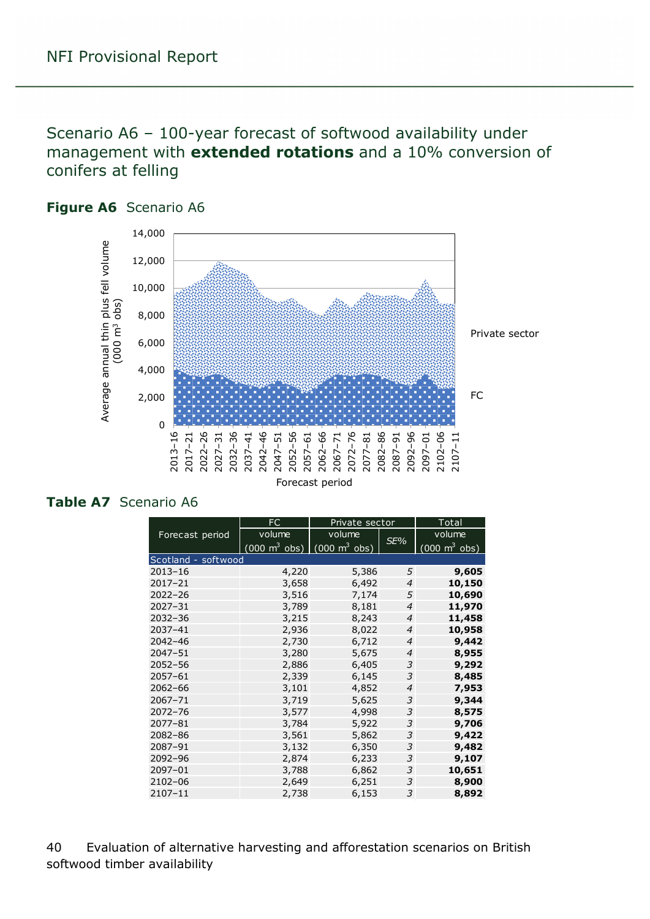<span id="page-39-0"></span>Scenario A6 – 100-year forecast of softwood availability under management with **extended rotations** and a 10% conversion of conifers at felling



#### <span id="page-39-1"></span>**Figure A6** Scenario A6

#### <span id="page-39-2"></span>**Table A7** Scenario A6

|                     | FC                                                              | Private sector | Total          |                                 |
|---------------------|-----------------------------------------------------------------|----------------|----------------|---------------------------------|
| Forecast period     | volume                                                          | volume         | SE%            | volume                          |
|                     | $(000 \text{ m}^3 \text{ obs})$ $(000 \text{ m}^3 \text{ obs})$ |                |                | $(000 \text{ m}^3 \text{ obs})$ |
| Scotland - softwood |                                                                 |                |                |                                 |
| $2013 - 16$         | 4,220                                                           | 5,386          | 5              | 9,605                           |
| $2017 - 21$         | 3,658                                                           | 6,492          | 4              | 10,150                          |
| $2022 - 26$         | 3,516                                                           | 7,174          | 5              | 10,690                          |
| $2027 - 31$         | 3,789                                                           | 8,181          | $\overline{4}$ | 11,970                          |
| $2032 - 36$         | 3,215                                                           | 8,243          | $\overline{4}$ | 11,458                          |
| 2037-41             | 2,936                                                           | 8,022          | $\overline{4}$ | 10,958                          |
| $2042 - 46$         | 2,730                                                           | 6,712          | 4              | 9,442                           |
| $2047 - 51$         | 3,280                                                           | 5,675          | $\overline{4}$ | 8,955                           |
| $2052 - 56$         | 2,886                                                           | 6,405          | 3              | 9,292                           |
| $2057 - 61$         | 2,339                                                           | 6,145          | 3              | 8,485                           |
| $2062 - 66$         | 3,101                                                           | 4,852          | $\overline{4}$ | 7,953                           |
| 2067-71             | 3,719                                                           | 5,625          | 3              | 9,344                           |
| $2072 - 76$         | 3,577                                                           | 4,998          | 3              | 8,575                           |
| $2077 - 81$         | 3,784                                                           | 5,922          | 3              | 9,706                           |
| $2082 - 86$         | 3,561                                                           | 5,862          | 3              | 9,422                           |
| 2087-91             | 3,132                                                           | 6,350          | 3              | 9,482                           |
| 2092-96             | 2,874                                                           | 6,233          | 3              | 9,107                           |
| 2097-01             | 3,788                                                           | 6,862          | 3              | 10,651                          |
| $2102 - 06$         | 2,649                                                           | 6,251          | 3              | 8,900                           |
| $2107 - 11$         | 2,738                                                           | 6,153          | 3              | 8,892                           |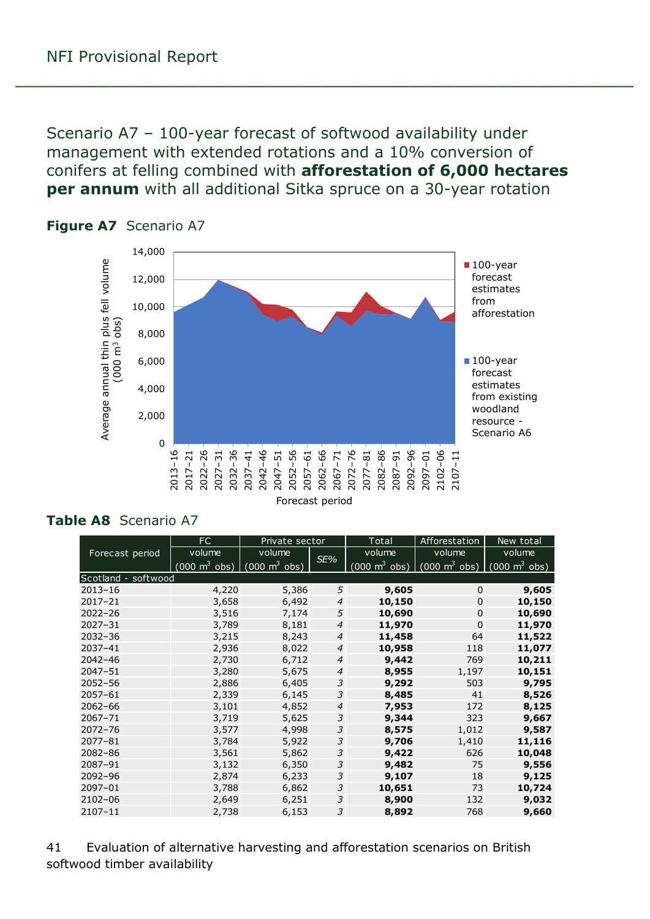<span id="page-40-0"></span>Scenario A7 – 100-year forecast of softwood availability under management with extended rotations and a 10% conversion of conifers at felling combined with **afforestation of 6,000 hectares per annum** with all additional Sitka spruce on a 30-year rotation



#### <span id="page-40-1"></span>**Figure A7** Scenario A7

#### <span id="page-40-2"></span>**Table A8** Scenario A7

|                     | FC                                  | Private sector                  |                | Total  | Afforestation                                                                                   | New total |
|---------------------|-------------------------------------|---------------------------------|----------------|--------|-------------------------------------------------------------------------------------------------|-----------|
| Forecast period     | volume                              | volume                          | SE%            | volume | volume                                                                                          | volume    |
|                     | $(000 \; \text{m}^3 \; \text{obs})$ | $\int$ (000 m <sup>3</sup> obs) |                |        | $(000 \text{ m}^3 \text{ obs})$ $(000 \text{ m}^3 \text{ obs})$ $(000 \text{ m}^3 \text{ obs})$ |           |
| Scotland - softwood |                                     |                                 |                |        |                                                                                                 |           |
| $2013 - 16$         | 4,220                               | 5,386                           | 5              | 9,605  | $\Omega$                                                                                        | 9,605     |
| $2017 - 21$         | 3,658                               | 6,492                           | $\overline{4}$ | 10,150 | $\Omega$                                                                                        | 10,150    |
| $2022 - 26$         | 3,516                               | 7,174                           | 5              | 10,690 | $\Omega$                                                                                        | 10,690    |
| $2027 - 31$         | 3,789                               | 8,181                           | $\overline{4}$ | 11,970 | $\Omega$                                                                                        | 11,970    |
| $2032 - 36$         | 3,215                               | 8,243                           | $\overline{4}$ | 11,458 | 64                                                                                              | 11,522    |
| $2037 - 41$         | 2,936                               | 8,022                           | $\overline{4}$ | 10,958 | 118                                                                                             | 11,077    |
| $2042 - 46$         | 2,730                               | 6,712                           | $\overline{4}$ | 9,442  | 769                                                                                             | 10,211    |
| 2047-51             | 3,280                               | 5,675                           | $\overline{4}$ | 8,955  | 1,197                                                                                           | 10,151    |
| $2052 - 56$         | 2,886                               | 6,405                           | 3              | 9,292  | 503                                                                                             | 9,795     |
| $2057 - 61$         | 2,339                               | 6,145                           | 3              | 8,485  | 41                                                                                              | 8,526     |
| $2062 - 66$         | 3,101                               | 4,852                           | $\overline{4}$ | 7,953  | 172                                                                                             | 8,125     |
| $2067 - 71$         | 3,719                               | 5,625                           | 3              | 9,344  | 323                                                                                             | 9,667     |
| $2072 - 76$         | 3,577                               | 4,998                           | 3              | 8,575  | 1,012                                                                                           | 9,587     |
| $2077 - 81$         | 3,784                               | 5,922                           | 3              | 9,706  | 1,410                                                                                           | 11,116    |
| $2082 - 86$         | 3,561                               | 5,862                           | 3              | 9,422  | 626                                                                                             | 10,048    |
| 2087-91             | 3,132                               | 6,350                           | 3              | 9,482  | 75                                                                                              | 9,556     |
| 2092-96             | 2,874                               | 6,233                           | 3              | 9,107  | 18                                                                                              | 9,125     |
| 2097-01             | 3,788                               | 6,862                           | 3              | 10,651 | 73                                                                                              | 10,724    |
| 2102-06             | 2,649                               | 6,251                           | 3              | 8,900  | 132                                                                                             | 9,032     |
| 2107-11             | 2,738                               | 6,153                           | 3              | 8,892  | 768                                                                                             | 9,660     |